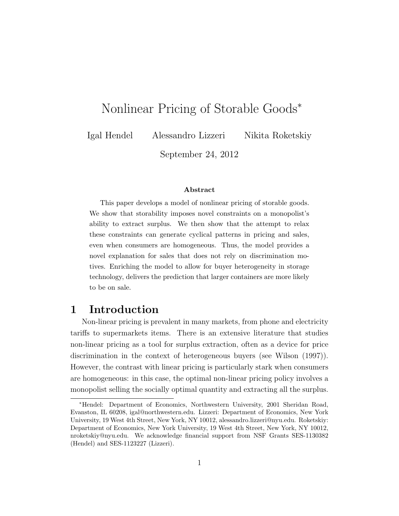# Nonlinear Pricing of Storable Goods<sup>\*</sup>

Igal Hendel Alessandro Lizzeri Nikita Roketskiy

September 24, 2012

#### Abstract

This paper develops a model of nonlinear pricing of storable goods. We show that storability imposes novel constraints on a monopolist's ability to extract surplus. We then show that the attempt to relax these constraints can generate cyclical patterns in pricing and sales, even when consumers are homogeneous. Thus, the model provides a novel explanation for sales that does not rely on discrimination motives. Enriching the model to allow for buyer heterogeneity in storage technology, delivers the prediction that larger containers are more likely to be on sale.

## 1 Introduction

Non-linear pricing is prevalent in many markets, from phone and electricity tariffs to supermarkets items. There is an extensive literature that studies non-linear pricing as a tool for surplus extraction, often as a device for price discrimination in the context of heterogeneous buyers (see Wilson (1997)). However, the contrast with linear pricing is particularly stark when consumers are homogeneous: in this case, the optimal non-linear pricing policy involves a monopolist selling the socially optimal quantity and extracting all the surplus.

<sup>⇤</sup>Hendel: Department of Economics, Northwestern University, 2001 Sheridan Road, Evanston, IL 60208, igal@northwestern.edu. Lizzeri: Department of Economics, New York University, 19 West 4th Street, New York, NY 10012, alessandro.lizzeri@nyu.edu. Roketskiy: Department of Economics, New York University, 19 West 4th Street, New York, NY 10012, nroketskiy@nyu.edu. We acknowledge financial support from NSF Grants SES-1130382 (Hendel) and SES-1123227 (Lizzeri).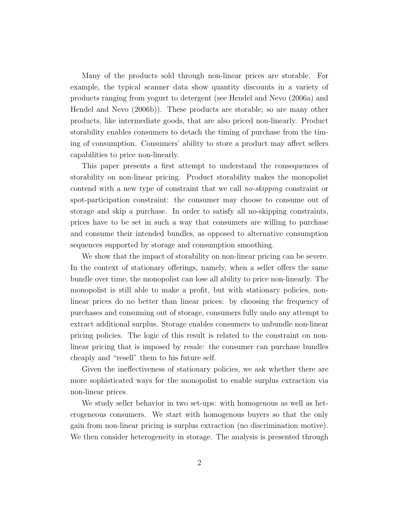Many of the products sold through non-linear prices are storable. For example, the typical scanner data show quantity discounts in a variety of products ranging from yogurt to detergent (see Hendel and Nevo (2006a) and Hendel and Nevo (2006b)). These products are storable; so are many other products, like intermediate goods, that are also priced non-linearly. Product storability enables consumers to detach the timing of purchase from the timing of consumption. Consumers' ability to store a product may affect sellers capabilities to price non-linearly.

This paper presents a first attempt to understand the consequences of storability on non-linear pricing. Product storability makes the monopolist contend with a new type of constraint that we call *no-skipping* constraint or spot-participation constraint: the consumer may choose to consume out of storage and skip a purchase. In order to satisfy all no-skipping constraints, prices have to be set in such a way that consumers are willing to purchase and consume their intended bundles, as opposed to alternative consumption sequences supported by storage and consumption smoothing.

We show that the impact of storability on non-linear pricing can be severe. In the context of stationary offerings, namely, when a seller offers the same bundle over time, the monopolist can lose all ability to price non-linearly. The monopolist is still able to make a profit, but with stationary policies, nonlinear prices do no better than linear prices: by choosing the frequency of purchases and consuming out of storage, consumers fully undo any attempt to extract additional surplus. Storage enables consumers to unbundle non-linear pricing policies. The logic of this result is related to the constraint on nonlinear pricing that is imposed by resale: the consumer can purchase bundles cheaply and "resell" them to his future self.

Given the ineffectiveness of stationary policies, we ask whether there are more sophisticated ways for the monopolist to enable surplus extraction via non-linear prices.

We study seller behavior in two set-ups: with homogenous as well as heterogeneous consumers. We start with homogenous buyers so that the only gain from non-linear pricing is surplus extraction (no discrimination motive). We then consider heterogeneity in storage. The analysis is presented through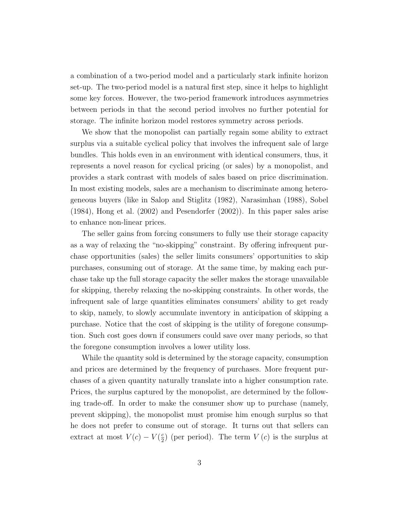a combination of a two-period model and a particularly stark infinite horizon set-up. The two-period model is a natural first step, since it helps to highlight some key forces. However, the two-period framework introduces asymmetries between periods in that the second period involves no further potential for storage. The infinite horizon model restores symmetry across periods.

We show that the monopolist can partially regain some ability to extract surplus via a suitable cyclical policy that involves the infrequent sale of large bundles. This holds even in an environment with identical consumers, thus, it represents a novel reason for cyclical pricing (or sales) by a monopolist, and provides a stark contrast with models of sales based on price discrimination. In most existing models, sales are a mechanism to discriminate among heterogeneous buyers (like in Salop and Stiglitz (1982), Narasimhan (1988), Sobel (1984), Hong et al. (2002) and Pesendorfer (2002)). In this paper sales arise to enhance non-linear prices.

The seller gains from forcing consumers to fully use their storage capacity as a way of relaxing the "no-skipping" constraint. By offering infrequent purchase opportunities (sales) the seller limits consumers' opportunities to skip purchases, consuming out of storage. At the same time, by making each purchase take up the full storage capacity the seller makes the storage unavailable for skipping, thereby relaxing the no-skipping constraints. In other words, the infrequent sale of large quantities eliminates consumers' ability to get ready to skip, namely, to slowly accumulate inventory in anticipation of skipping a purchase. Notice that the cost of skipping is the utility of foregone consumption. Such cost goes down if consumers could save over many periods, so that the foregone consumption involves a lower utility loss.

While the quantity sold is determined by the storage capacity, consumption and prices are determined by the frequency of purchases. More frequent purchases of a given quantity naturally translate into a higher consumption rate. Prices, the surplus captured by the monopolist, are determined by the following trade-off. In order to make the consumer show up to purchase (namely, prevent skipping), the monopolist must promise him enough surplus so that he does not prefer to consume out of storage. It turns out that sellers can extract at most  $V(c) - V(\frac{c}{2})$  (per period). The term  $V(c)$  is the surplus at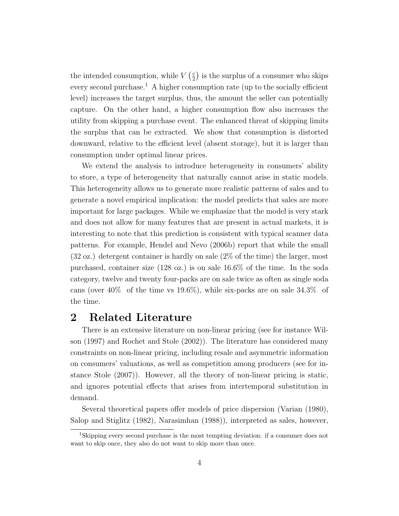the intended consumption, while  $V(\frac{c}{2})$  is the surplus of a consumer who skips every second purchase.<sup>1</sup> A higher consumption rate (up to the socially efficient level) increases the target surplus, thus, the amount the seller can potentially capture. On the other hand, a higher consumption flow also increases the utility from skipping a purchase event. The enhanced threat of skipping limits the surplus that can be extracted. We show that consumption is distorted downward, relative to the efficient level (absent storage), but it is larger than consumption under optimal linear prices.

We extend the analysis to introduce heterogeneity in consumers' ability to store, a type of heterogeneity that naturally cannot arise in static models. This heterogeneity allows us to generate more realistic patterns of sales and to generate a novel empirical implication: the model predicts that sales are more important for large packages. While we emphasize that the model is very stark and does not allow for many features that are present in actual markets, it is interesting to note that this prediction is consistent with typical scanner data patterns. For example, Hendel and Nevo (2006b) report that while the small (32 oz.) detergent container is hardly on sale (2% of the time) the larger, most purchased, container size (128 oz.) is on sale 16.6% of the time. In the soda category, twelve and twenty four-packs are on sale twice as often as single soda cans (over  $40\%$  of the time vs  $19.6\%$ ), while six-packs are on sale  $34.3\%$  of the time.

## 2 Related Literature

There is an extensive literature on non-linear pricing (see for instance Wilson (1997) and Rochet and Stole (2002)). The literature has considered many constraints on non-linear pricing, including resale and asymmetric information on consumers' valuations, as well as competition among producers (see for instance Stole (2007)). However, all the theory of non-linear pricing is static, and ignores potential effects that arises from intertemporal substitution in demand.

Several theoretical papers offer models of price dispersion (Varian (1980), Salop and Stiglitz (1982), Narasimhan (1988)), interpreted as sales, however,

<sup>1</sup>Skipping every second purchase is the most tempting deviation: if a consumer does not want to skip once, they also do not want to skip more than once.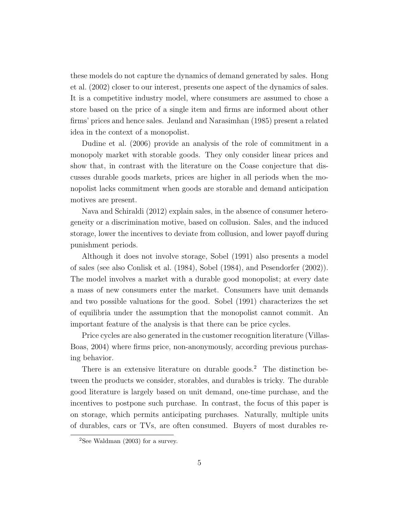these models do not capture the dynamics of demand generated by sales. Hong et al. (2002) closer to our interest, presents one aspect of the dynamics of sales. It is a competitive industry model, where consumers are assumed to chose a store based on the price of a single item and firms are informed about other firms' prices and hence sales. Jeuland and Narasimhan (1985) present a related idea in the context of a monopolist.

Dudine et al. (2006) provide an analysis of the role of commitment in a monopoly market with storable goods. They only consider linear prices and show that, in contrast with the literature on the Coase conjecture that discusses durable goods markets, prices are higher in all periods when the monopolist lacks commitment when goods are storable and demand anticipation motives are present.

Nava and Schiraldi (2012) explain sales, in the absence of consumer heterogeneity or a discrimination motive, based on collusion. Sales, and the induced storage, lower the incentives to deviate from collusion, and lower payoff during punishment periods.

Although it does not involve storage, Sobel (1991) also presents a model of sales (see also Conlisk et al. (1984), Sobel (1984), and Pesendorfer (2002)). The model involves a market with a durable good monopolist; at every date a mass of new consumers enter the market. Consumers have unit demands and two possible valuations for the good. Sobel (1991) characterizes the set of equilibria under the assumption that the monopolist cannot commit. An important feature of the analysis is that there can be price cycles.

Price cycles are also generated in the customer recognition literature (Villas-Boas, 2004) where firms price, non-anonymously, according previous purchasing behavior.

There is an extensive literature on durable goods.<sup>2</sup> The distinction between the products we consider, storables, and durables is tricky. The durable good literature is largely based on unit demand, one-time purchase, and the incentives to postpone such purchase. In contrast, the focus of this paper is on storage, which permits anticipating purchases. Naturally, multiple units of durables, cars or TVs, are often consumed. Buyers of most durables re-

<sup>&</sup>lt;sup>2</sup>See Waldman (2003) for a survey.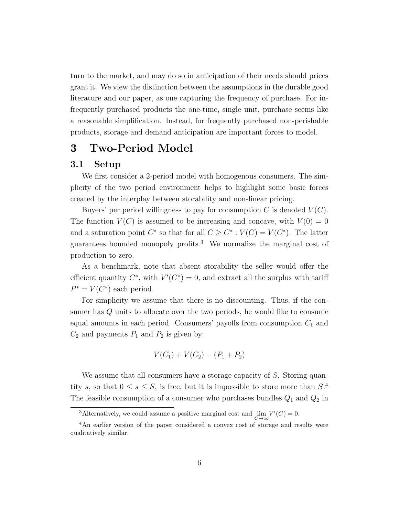turn to the market, and may do so in anticipation of their needs should prices grant it. We view the distinction between the assumptions in the durable good literature and our paper, as one capturing the frequency of purchase. For infrequently purchased products the one-time, single unit, purchase seems like a reasonable simplification. Instead, for frequently purchased non-perishable products, storage and demand anticipation are important forces to model.

## 3 Two-Period Model

### 3.1 Setup

We first consider a 2-period model with homogenous consumers. The simplicity of the two period environment helps to highlight some basic forces created by the interplay between storability and non-linear pricing.

Buyers' per period willingness to pay for consumption  $C$  is denoted  $V(C)$ . The function  $V(C)$  is assumed to be increasing and concave, with  $V(0) = 0$ and a saturation point  $C^*$  so that for all  $C \geq C^* : V(C) = V(C^*)$ . The latter guarantees bounded monopoly profits.<sup>3</sup> We normalize the marginal cost of production to zero.

As a benchmark, note that absent storability the seller would offer the efficient quantity  $C^*$ , with  $V'(C^*)=0$ , and extract all the surplus with tariff  $P^* = V(C^*)$  each period.

For simplicity we assume that there is no discounting. Thus, if the consumer has *Q* units to allocate over the two periods, he would like to consume equal amounts in each period. Consumers' payoffs from consumption  $C_1$  and  $C_2$  and payments  $P_1$  and  $P_2$  is given by:

$$
V(C_1) + V(C_2) - (P_1 + P_2)
$$

We assume that all consumers have a storage capacity of *S*. Storing quantity *s*, so that  $0 \leq s \leq S$ , is free, but it is impossible to store more than  $S^4$ . The feasible consumption of a consumer who purchases bundles *Q*<sup>1</sup> and *Q*<sup>2</sup> in

<sup>&</sup>lt;sup>3</sup>Alternatively, we could assume a positive marginal cost and  $\lim_{C \to \infty} V'(C) = 0$ .

<sup>4</sup>An earlier version of the paper considered a convex cost of storage and results were qualitatively similar.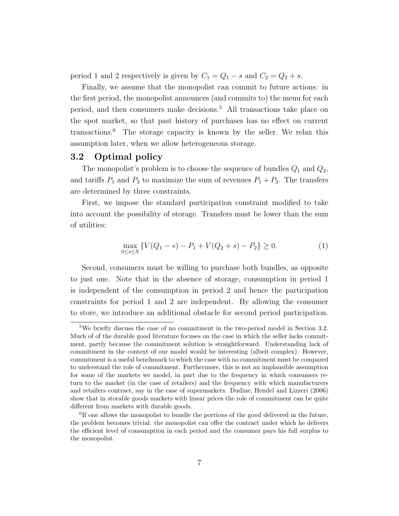period 1 and 2 respectively is given by  $C_1 = Q_1 - s$  and  $C_2 = Q_2 + s$ .

Finally, we assume that the monopolist can commit to future actions: in the first period, the monopolist announces (and commits to) the menu for each period, and then consumers make decisions.<sup>5</sup> All transactions take place on the spot market, so that past history of purchases has no effect on current transactions.<sup>6</sup> The storage capacity is known by the seller. We relax this assumption later, when we allow heterogeneous storage.

### 3.2 Optimal policy

The monopolist's problem is to choose the sequence of bundles  $Q_1$  and  $Q_2$ , and tariffs  $P_1$  and  $P_2$  to maximize the sum of revenues  $P_1 + P_2$ . The transfers are determined by three constraints.

First, we impose the standard participation constraint modified to take into account the possibility of storage. Transfers must be lower than the sum of utilities:

$$
\max_{0 \le s \le S} \{ V(Q_1 - s) - P_1 + V(Q_2 + s) - P_2 \} \ge 0.
$$
\n(1)

Second, consumers must be willing to purchase both bundles, as opposite to just one. Note that in the absence of storage, consumption in period 1 is independent of the consumption in period 2 and hence the participation constraints for period 1 and 2 are independent. By allowing the consumer to store, we introduce an additional obstacle for second period participation.

<sup>&</sup>lt;sup>5</sup>We briefly discuss the case of no commitment in the two-period model in Section 3.2. Much of of the durable good literature focuses on the case in which the seller lacks commitment, partly because the commitment solution is straightforward. Understanding lack of commitment in the context of our model would be interesting (albeit complex). However, commitment is a useful benchmark to which the case with no commitment must be compared to understand the role of commitment. Furthermore, this is not an implausible assumption for some of the markets we model, in part due to the frequency in which consumers return to the market (in the case of retailers) and the frequency with which manufacturers and retailers contract, say in the case of supermarkets. Dudine, Hendel and Lizzeri (2006) show that in storable goods markets with linear prices the role of commitment can be quite different from markets with durable goods.

<sup>&</sup>lt;sup>6</sup>If one allows the monopolist to bundle the portions of the good delivered in the future, the problem becomes trivial: the monopolist can offer the contract under which he delivers the efficient level of consumption in each period and the consumer pays his full surplus to the monopolist.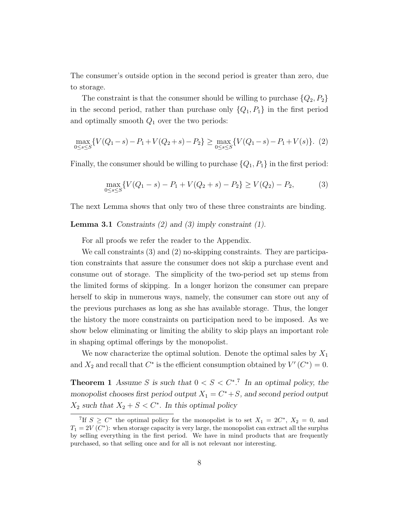The consumer's outside option in the second period is greater than zero, due to storage.

The constraint is that the consumer should be willing to purchase  $\{Q_2, P_2\}$ in the second period, rather than purchase only  $\{Q_1, P_1\}$  in the first period and optimally smooth *Q*<sup>1</sup> over the two periods:

$$
\max_{0 \le s \le S} \{ V(Q_1 - s) - P_1 + V(Q_2 + s) - P_2 \} \ge \max_{0 \le s \le S} \{ V(Q_1 - s) - P_1 + V(s) \}. (2)
$$

Finally, the consumer should be willing to purchase  $\{Q_1, P_1\}$  in the first period:

$$
\max_{0 \le s \le S} \{ V(Q_1 - s) - P_1 + V(Q_2 + s) - P_2 \} \ge V(Q_2) - P_2,\tag{3}
$$

The next Lemma shows that only two of these three constraints are binding.

Lemma 3.1 *Constraints (2) and (3) imply constraint (1).*

For all proofs we refer the reader to the Appendix.

We call constraints (3) and (2) no-skipping constraints. They are participation constraints that assure the consumer does not skip a purchase event and consume out of storage. The simplicity of the two-period set up stems from the limited forms of skipping. In a longer horizon the consumer can prepare herself to skip in numerous ways, namely, the consumer can store out any of the previous purchases as long as she has available storage. Thus, the longer the history the more constraints on participation need to be imposed. As we show below eliminating or limiting the ability to skip plays an important role in shaping optimal offerings by the monopolist.

We now characterize the optimal solution. Denote the optimal sales by *X*<sup>1</sup> and  $X_2$  and recall that  $C^*$  is the efficient consumption obtained by  $V'(C^*) = 0$ .

**Theorem 1** Assume S is such that  $0 < S < C^*$ <sup>7</sup> In an optimal policy, the *monopolist chooses first period output*  $X_1 = C^* + S$ *, and second period output*  $X_2$  *such that*  $X_2 + S < C^*$ *. In this optimal policy* 

<sup>&</sup>lt;sup>7</sup>If  $S \geq C^*$  the optimal policy for the monopolist is to set  $X_1 = 2C^*$ ,  $X_2 = 0$ , and  $T_1 = 2V(C^*)$ : when storage capacity is very large, the monopolist can extract all the surplus by selling everything in the first period. We have in mind products that are frequently purchased, so that selling once and for all is not relevant nor interesting.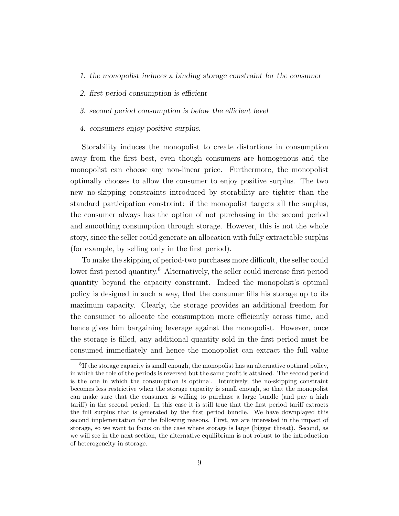- *1. the monopolist induces a binding storage constraint for the consumer*
- 2. *first period consumption is efficient*
- *3. second period consumption is below the ecient level*
- *4. consumers enjoy positive surplus.*

Storability induces the monopolist to create distortions in consumption away from the first best, even though consumers are homogenous and the monopolist can choose any non-linear price. Furthermore, the monopolist optimally chooses to allow the consumer to enjoy positive surplus. The two new no-skipping constraints introduced by storability are tighter than the standard participation constraint: if the monopolist targets all the surplus, the consumer always has the option of not purchasing in the second period and smoothing consumption through storage. However, this is not the whole story, since the seller could generate an allocation with fully extractable surplus (for example, by selling only in the first period).

To make the skipping of period-two purchases more difficult, the seller could lower first period quantity.<sup>8</sup> Alternatively, the seller could increase first period quantity beyond the capacity constraint. Indeed the monopolist's optimal policy is designed in such a way, that the consumer fills his storage up to its maximum capacity. Clearly, the storage provides an additional freedom for the consumer to allocate the consumption more efficiently across time, and hence gives him bargaining leverage against the monopolist. However, once the storage is filled, any additional quantity sold in the first period must be consumed immediately and hence the monopolist can extract the full value

<sup>8</sup>If the storage capacity is small enough, the monopolist has an alternative optimal policy, in which the role of the periods is reversed but the same profit is attained. The second period is the one in which the consumption is optimal. Intuitively, the no-skipping constraint becomes less restrictive when the storage capacity is small enough, so that the monopolist can make sure that the consumer is willing to purchase a large bundle (and pay a high  $\text{tariff}$ ) in the second period. In this case it is still true that the first period tariff extracts the full surplus that is generated by the first period bundle. We have downplayed this second implementation for the following reasons. First, we are interested in the impact of storage, so we want to focus on the case where storage is large (bigger threat). Second, as we will see in the next section, the alternative equilibrium is not robust to the introduction of heterogeneity in storage.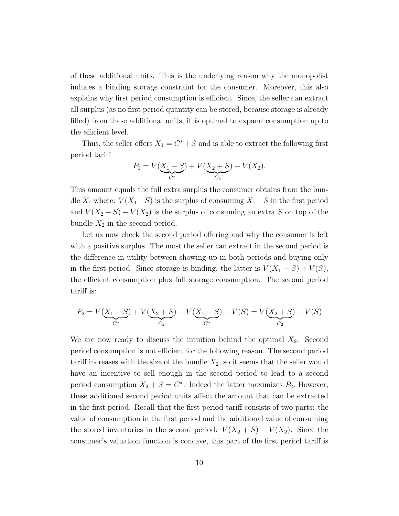of these additional units. This is the underlying reason why the monopolist induces a binding storage constraint for the consumer. Moreover, this also explains why first period consumption is efficient. Since, the seller can extract all surplus (as no first period quantity can be stored, because storage is already filled) from these additional units, it is optimal to expand consumption up to the efficient level.

Thus, the seller offers  $X_1 = C^* + S$  and is able to extract the following first period tariff

$$
P_1 = V(\underbrace{X_1 - S}_{C^*}) + V(\underbrace{X_2 + S}_{C_2}) - V(X_2).
$$

This amount equals the full extra surplus the consumer obtains from the bundle  $X_1$  where:  $V(X_1 - S)$  is the surplus of consuming  $X_1 - S$  in the first period and  $V(X_2 + S) - V(X_2)$  is the surplus of consuming an extra S on top of the bundle  $X_2$  in the second period.

Let us now check the second period offering and why the consumer is left with a positive surplus. The most the seller can extract in the second period is the difference in utility between showing up in both periods and buying only in the first period. Since storage is binding, the latter is  $V(X_1 - S) + V(S)$ , the efficient consumption plus full storage consumption. The second period tariff is:

$$
P_2 = V(\underbrace{X_1 - S}_{C^*}) + V(\underbrace{X_2 + S}_{C_2}) - V(\underbrace{X_1 - S}_{C^*}) - V(S) = V(\underbrace{X_2 + S}_{C_2}) - V(S)
$$

We are now ready to discuss the intuition behind the optimal  $X_2$ . Second period consumption is not efficient for the following reason. The second period tariff increases with the size of the bundle  $X_2$ , so it seems that the seller would have an incentive to sell enough in the second period to lead to a second period consumption  $X_2 + S = C^*$ . Indeed the latter maximizes  $P_2$ . However, these additional second period units affect the amount that can be extracted in the first period. Recall that the first period tariff consists of two parts: the value of consumption in the first period and the additional value of consuming the stored inventories in the second period:  $V(X_2 + S) - V(X_2)$ . Since the consumer's valuation function is concave, this part of the first period tariff is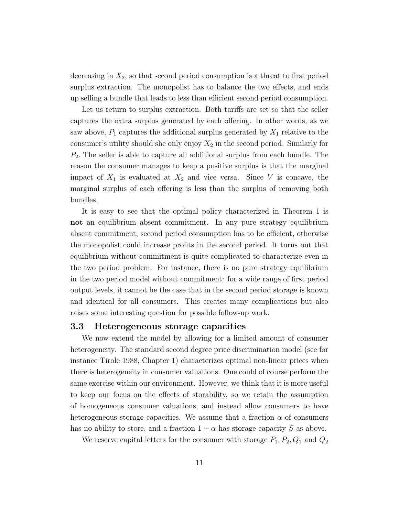decreasing in *X*2, so that second period consumption is a threat to first period surplus extraction. The monopolist has to balance the two effects, and ends up selling a bundle that leads to less than efficient second period consumption.

Let us return to surplus extraction. Both tariffs are set so that the seller captures the extra surplus generated by each offering. In other words, as we saw above,  $P_1$  captures the additional surplus generated by  $X_1$  relative to the consumer's utility should she only enjoy  $X_2$  in the second period. Similarly for *P*2*.* The seller is able to capture all additional surplus from each bundle. The reason the consumer manages to keep a positive surplus is that the marginal impact of  $X_1$  is evaluated at  $X_2$  and vice versa. Since V is concave, the marginal surplus of each offering is less than the surplus of removing both bundles.

It is easy to see that the optimal policy characterized in Theorem 1 is not an equilibrium absent commitment. In any pure strategy equilibrium absent commitment, second period consumption has to be efficient, otherwise the monopolist could increase profits in the second period. It turns out that equilibrium without commitment is quite complicated to characterize even in the two period problem. For instance, there is no pure strategy equilibrium in the two period model without commitment: for a wide range of first period output levels, it cannot be the case that in the second period storage is known and identical for all consumers. This creates many complications but also raises some interesting question for possible follow-up work.

### 3.3 Heterogeneous storage capacities

We now extend the model by allowing for a limited amount of consumer heterogeneity. The standard second degree price discrimination model (see for instance Tirole 1988, Chapter 1) characterizes optimal non-linear prices when there is heterogeneity in consumer valuations. One could of course perform the same exercise within our environment. However, we think that it is more useful to keep our focus on the effects of storability, so we retain the assumption of homogeneous consumer valuations, and instead allow consumers to have heterogeneous storage capacities. We assume that a fraction  $\alpha$  of consumers has no ability to store, and a fraction  $1 - \alpha$  has storage capacity *S* as above.

We reserve capital letters for the consumer with storage  $P_1, P_2, Q_1$  and  $Q_2$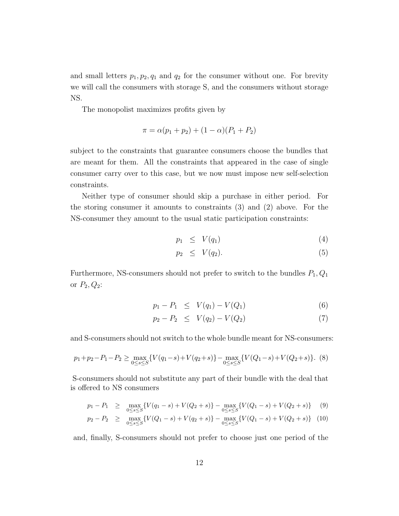and small letters  $p_1, p_2, q_1$  and  $q_2$  for the consumer without one. For brevity we will call the consumers with storage S, and the consumers without storage NS.

The monopolist maximizes profits given by

$$
\pi = \alpha (p_1 + p_2) + (1 - \alpha)(P_1 + P_2)
$$

subject to the constraints that guarantee consumers choose the bundles that are meant for them. All the constraints that appeared in the case of single consumer carry over to this case, but we now must impose new self-selection constraints.

Neither type of consumer should skip a purchase in either period. For the storing consumer it amounts to constraints (3) and (2) above. For the NS-consumer they amount to the usual static participation constraints:

$$
p_1 \leq V(q_1) \tag{4}
$$

$$
p_2 \leq V(q_2). \tag{5}
$$

Furthermore, NS-consumers should not prefer to switch to the bundles  $P_1, Q_1$ or  $P_2, Q_2$ :

$$
p_1 - P_1 \leq V(q_1) - V(Q_1) \tag{6}
$$

$$
p_2 - P_2 \leq V(q_2) - V(Q_2) \tag{7}
$$

and S-consumers should not switch to the whole bundle meant for NS-consumers:

$$
p_1 + p_2 - P_1 - P_2 \ge \max_{0 \le s \le S} \{ V(q_1 - s) + V(q_2 + s) \} - \max_{0 \le s \le S} \{ V(Q_1 - s) + V(Q_2 + s) \}. \tag{8}
$$

S-consumers should not substitute any part of their bundle with the deal that is offered to NS consumers

$$
p_1 - P_1 \ge \max_{0 \le s \le S} \{ V(q_1 - s) + V(Q_2 + s) \} - \max_{0 \le s \le S} \{ V(Q_1 - s) + V(Q_2 + s) \} \tag{9}
$$

$$
p_2 - P_2 \geq \max_{0 \leq s \leq S} \{ V(Q_1 - s) + V(q_2 + s) \} - \max_{0 \leq s \leq S} \{ V(Q_1 - s) + V(Q_2 + s) \} \tag{10}
$$

and, finally, S-consumers should not prefer to choose just one period of the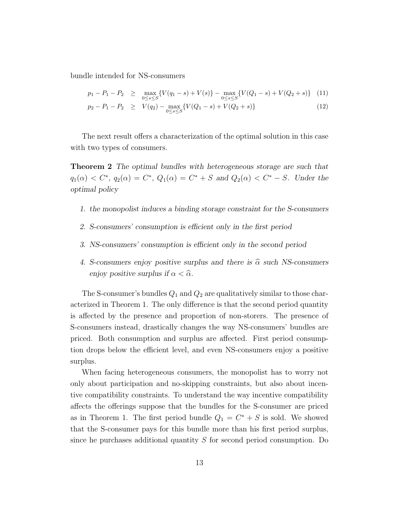bundle intended for NS-consumers

$$
p_1 - P_1 - P_2 \ge \max_{0 \le s \le S} \{ V(q_1 - s) + V(s) \} - \max_{0 \le s \le S} \{ V(Q_1 - s) + V(Q_2 + s) \} \tag{11}
$$

$$
p_2 - P_1 - P_2 \geq V(q_2) - \max_{0 \leq s \leq S} \{ V(Q_1 - s) + V(Q_2 + s) \}
$$
\n(12)

The next result offers a characterization of the optimal solution in this case with two types of consumers.

Theorem 2 *The optimal bundles with heterogeneous storage are such that*  $q_1(\alpha) < C^*$ ,  $q_2(\alpha) = C^*$ ,  $Q_1(\alpha) = C^* + S$  and  $Q_2(\alpha) < C^* - S$ . Under the *optimal policy*

- *1. the monopolist induces a binding storage constraint for the S-consumers*
- *2. S-consumers' consumption is ecient only in the first period*
- *3. NS-consumers' consumption is ecient only in the second period*
- 4. S-consumers enjoy positive surplus and there is  $\hat{\alpha}$  such NS-consumers *enjoy positive surplus if*  $\alpha < \hat{\alpha}$ *.*

The S-consumer's bundles *Q*<sup>1</sup> and *Q*<sup>2</sup> are qualitatively similar to those characterized in Theorem 1. The only difference is that the second period quantity is affected by the presence and proportion of non-storers. The presence of S-consumers instead, drastically changes the way NS-consumers' bundles are priced. Both consumption and surplus are affected. First period consumption drops below the efficient level, and even NS-consumers enjoy a positive surplus.

When facing heterogeneous consumers, the monopolist has to worry not only about participation and no-skipping constraints, but also about incentive compatibility constraints. To understand the way incentive compatibility affects the offerings suppose that the bundles for the S-consumer are priced as in Theorem 1. The first period bundle  $Q_1 = C^* + S$  is sold. We showed that the S-consumer pays for this bundle more than his first period surplus, since he purchases additional quantity *S* for second period consumption. Do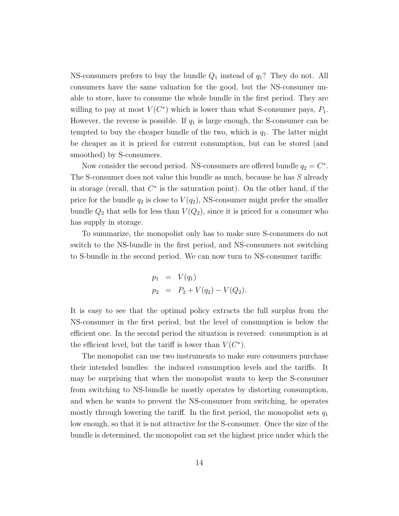NS-consumers prefers to buy the bundle *Q*<sup>1</sup> instead of *q*1? They do not. All consumers have the same valuation for the good, but the NS-consumer unable to store, have to consume the whole bundle in the first period. They are willing to pay at most  $V(C^*)$  which is lower than what S-consumer pays,  $P_1$ . However, the reverse is possible. If  $q_1$  is large enough, the S-consumer can be tempted to buy the cheaper bundle of the two, which is  $q_1$ . The latter might be cheaper as it is priced for current consumption, but can be stored (and smoothed) by S-consumers.

Now consider the second period. NS-consumers are offered bundle  $q_2 = C^*$ . The S-consumer does not value this bundle as much, because he has *S* already in storage (recall, that  $C^*$  is the saturation point). On the other hand, if the price for the bundle  $q_2$  is close to  $V(q_2)$ , NS-consumer might prefer the smaller bundle  $Q_2$  that sells for less than  $V(Q_2)$ , since it is priced for a consumer who has supply in storage.

To summarize, the monopolist only has to make sure S-consumers do not switch to the NS-bundle in the first period, and NS-consumers not switching to S-bundle in the second period. We can now turn to NS-consumer tariffs:

$$
p_1 = V(q_1)
$$
  
\n
$$
p_2 = P_2 + V(q_2) - V(Q_2).
$$

It is easy to see that the optimal policy extracts the full surplus from the NS-consumer in the first period, but the level of consumption is below the efficient one. In the second period the situation is reversed: consumption is at the efficient level, but the tariff is lower than  $V(C^*)$ .

The monopolist can use two instruments to make sure consumers purchase their intended bundles: the induced consumption levels and the tariffs. It may be surprising that when the monopolist wants to keep the S-consumer from switching to NS-bundle he mostly operates by distorting consumption, and when he wants to prevent the NS-consumer from switching, he operates mostly through lowering the tariff. In the first period, the monopolist sets  $q_1$ low enough, so that it is not attractive for the S-consumer. Once the size of the bundle is determined, the monopolist can set the highest price under which the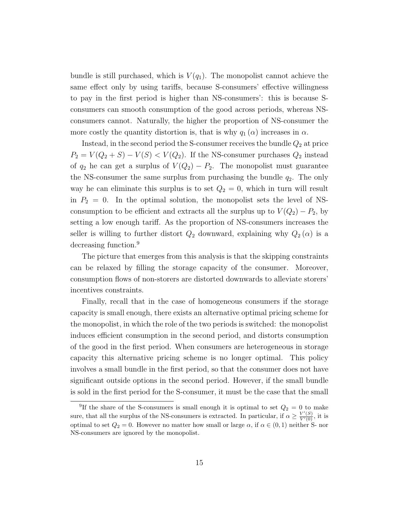bundle is still purchased, which is  $V(q_1)$ . The monopolist cannot achieve the same effect only by using tariffs, because S-consumers' effective willingness to pay in the first period is higher than NS-consumers': this is because Sconsumers can smooth consumption of the good across periods, whereas NSconsumers cannot. Naturally, the higher the proportion of NS-consumer the more costly the quantity distortion is, that is why  $q_1(\alpha)$  increases in  $\alpha$ .

Instead, in the second period the S-consumer receives the bundle  $Q_2$  at price  $P_2 = V(Q_2 + S) - V(S) < V(Q_2)$ . If the NS-consumer purchases  $Q_2$  instead of  $q_2$  he can get a surplus of  $V(Q_2) - P_2$ . The monopolist must guarantee the NS-consumer the same surplus from purchasing the bundle  $q_2$ . The only way he can eliminate this surplus is to set  $Q_2 = 0$ , which in turn will result in  $P_2 = 0$ . In the optimal solution, the monopolist sets the level of NSconsumption to be efficient and extracts all the surplus up to  $V(Q_2) - P_2$ , by setting a low enough tariff. As the proportion of NS-consumers increases the seller is willing to further distort  $Q_2$  downward, explaining why  $Q_2(\alpha)$  is a decreasing function.<sup>9</sup>

The picture that emerges from this analysis is that the skipping constraints can be relaxed by filling the storage capacity of the consumer. Moreover, consumption flows of non-storers are distorted downwards to alleviate storers' incentives constraints.

Finally, recall that in the case of homogeneous consumers if the storage capacity is small enough, there exists an alternative optimal pricing scheme for the monopolist, in which the role of the two periods is switched: the monopolist induces efficient consumption in the second period, and distorts consumption of the good in the first period. When consumers are heterogeneous in storage capacity this alternative pricing scheme is no longer optimal. This policy involves a small bundle in the first period, so that the consumer does not have significant outside options in the second period. However, if the small bundle is sold in the first period for the S-consumer, it must be the case that the small

<sup>&</sup>lt;sup>9</sup>If the share of the S-consumers is small enough it is optimal to set  $Q_2 = 0$  to make sure, that all the surplus of the NS-consumers is extracted. In particular, if  $\alpha \geq \frac{V'(S)}{V'(0)}$ , it is optimal to set  $Q_2 = 0$ . However no matter how small or large  $\alpha$ , if  $\alpha \in (0,1)$  neither S- nor NS-consumers are ignored by the monopolist.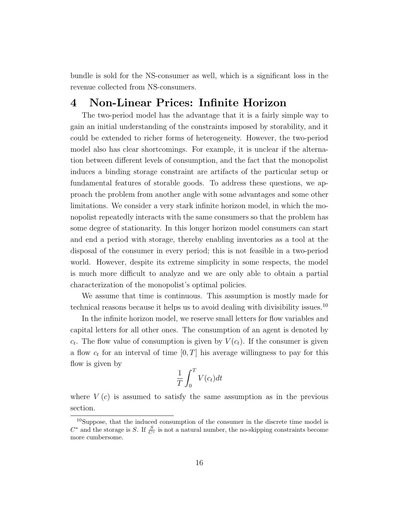bundle is sold for the NS-consumer as well, which is a significant loss in the revenue collected from NS-consumers.

## 4 Non-Linear Prices: Infinite Horizon

The two-period model has the advantage that it is a fairly simple way to gain an initial understanding of the constraints imposed by storability, and it could be extended to richer forms of heterogeneity. However, the two-period model also has clear shortcomings. For example, it is unclear if the alternation between different levels of consumption, and the fact that the monopolist induces a binding storage constraint are artifacts of the particular setup or fundamental features of storable goods. To address these questions, we approach the problem from another angle with some advantages and some other limitations. We consider a very stark infinite horizon model, in which the monopolist repeatedly interacts with the same consumers so that the problem has some degree of stationarity. In this longer horizon model consumers can start and end a period with storage, thereby enabling inventories as a tool at the disposal of the consumer in every period; this is not feasible in a two-period world. However, despite its extreme simplicity in some respects, the model is much more difficult to analyze and we are only able to obtain a partial characterization of the monopolist's optimal policies.

We assume that time is continuous. This assumption is mostly made for technical reasons because it helps us to avoid dealing with divisibility issues.<sup>10</sup>

In the infinite horizon model, we reserve small letters for flow variables and capital letters for all other ones. The consumption of an agent is denoted by  $c_t$ . The flow value of consumption is given by  $V(c_t)$ . If the consumer is given a flow *c<sup>t</sup>* for an interval of time [0*, T*] his average willingness to pay for this flow is given by

$$
\frac{1}{T} \int_0^T V(c_t) dt
$$

where  $V(c)$  is assumed to satisfy the same assumption as in the previous section.

<sup>10</sup>Suppose, that the induced consumption of the consumer in the discrete time model is  $C^*$  and the storage is *S*. If  $\frac{S}{C^*}$  is not a natural number, the no-skipping constraints become more cumbersome.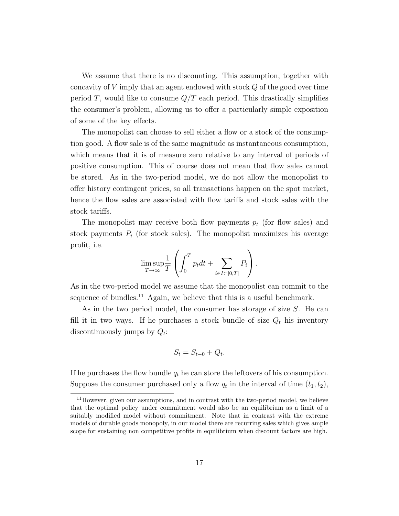We assume that there is no discounting. This assumption, together with concavity of *V* imply that an agent endowed with stock *Q* of the good over time period *T*, would like to consume *Q/T* each period. This drastically simplifies the consumer's problem, allowing us to offer a particularly simple exposition of some of the key effects.

The monopolist can choose to sell either a flow or a stock of the consumption good. A flow sale is of the same magnitude as instantaneous consumption, which means that it is of measure zero relative to any interval of periods of positive consumption. This of course does not mean that flow sales cannot be stored. As in the two-period model, we do not allow the monopolist to offer history contingent prices, so all transactions happen on the spot market, hence the flow sales are associated with flow tariffs and stock sales with the stock tariffs.

The monopolist may receive both flow payments *p<sup>t</sup>* (for flow sales) and stock payments  $P_i$  (for stock sales). The monopolist maximizes his average profit, i.e.

$$
\limsup_{T\to\infty}\frac{1}{T}\left(\int_0^T p_tdt+\sum_{i\in I\subset [0,T]}P_i\right).
$$

As in the two-period model we assume that the monopolist can commit to the sequence of bundles.<sup>11</sup> Again, we believe that this is a useful benchmark.

As in the two period model, the consumer has storage of size *S*. He can fill it in two ways. If he purchases a stock bundle of size  $Q_t$  his inventory discontinuously jumps by *Qt*:

$$
S_t = S_{t-0} + Q_t.
$$

If he purchases the flow bundle *q<sup>t</sup>* he can store the leftovers of his consumption. Suppose the consumer purchased only a flow  $q_t$  in the interval of time  $(t_1, t_2)$ ,

 $11$ However, given our assumptions, and in contrast with the two-period model, we believe that the optimal policy under commitment would also be an equilibrium as a limit of a suitably modified model without commitment. Note that in contrast with the extreme models of durable goods monopoly, in our model there are recurring sales which gives ample scope for sustaining non competitive profits in equilibrium when discount factors are high.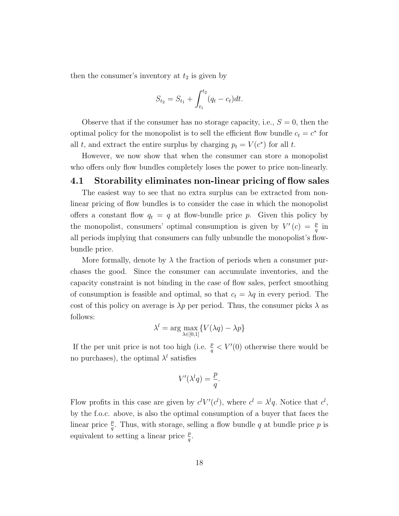then the consumer's inventory at  $t_2$  is given by

$$
S_{t_2} = S_{t_1} + \int_{t_1}^{t_2} (q_t - c_t) dt.
$$

Observe that if the consumer has no storage capacity, i.e.,  $S = 0$ , then the optimal policy for the monopolist is to sell the efficient flow bundle  $c_t = c^*$  for all *t*, and extract the entire surplus by charging  $p_t = V(c^*)$  for all *t*.

However, we now show that when the consumer can store a monopolist who offers only flow bundles completely loses the power to price non-linearly.

### 4.1 Storability eliminates non-linear pricing of flow sales

The easiest way to see that no extra surplus can be extracted from nonlinear pricing of flow bundles is to consider the case in which the monopolist offers a constant flow  $q_t = q$  at flow-bundle price p. Given this policy by the monopolist, consumers' optimal consumption is given by  $V'(c) = \frac{p}{q}$  in all periods implying that consumers can fully unbundle the monopolist's flowbundle price.

More formally, denote by  $\lambda$  the fraction of periods when a consumer purchases the good. Since the consumer can accumulate inventories, and the capacity constraint is not binding in the case of flow sales, perfect smoothing of consumption is feasible and optimal, so that  $c_t = \lambda q$  in every period. The cost of this policy on average is  $\lambda p$  per period. Thus, the consumer picks  $\lambda$  as follows:

$$
\lambda^l = \arg \max_{\lambda \in [0,1]} \{ V(\lambda q) - \lambda p \}
$$

If the per unit price is not too high (i.e.  $\frac{p}{q}$  < V'(0) otherwise there would be no purchases), the optimal  $\lambda^{l}$  satisfies

$$
V'(\lambda^l q) = \frac{p}{q}.
$$

Flow profits in this case are given by  $c^l V'(c^l)$ , where  $c^l = \lambda^l q$ . Notice that  $c^l$ , by the f.o.c. above, is also the optimal consumption of a buyer that faces the linear price  $\frac{p}{q}$ . Thus, with storage, selling a flow bundle *q* at bundle price *p* is equivalent to setting a linear price  $\frac{p}{q}$ .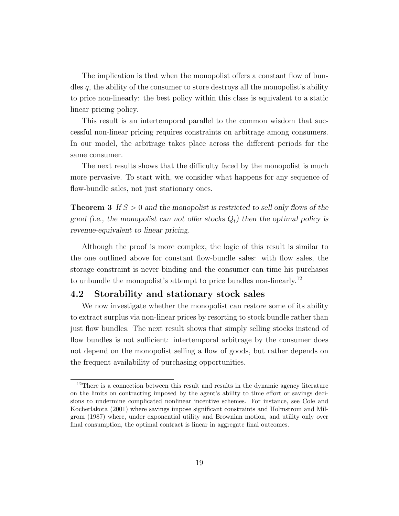The implication is that when the monopolist offers a constant flow of bundles *q*, the ability of the consumer to store destroys all the monopolist's ability to price non-linearly: the best policy within this class is equivalent to a static linear pricing policy.

This result is an intertemporal parallel to the common wisdom that successful non-linear pricing requires constraints on arbitrage among consumers. In our model, the arbitrage takes place across the different periods for the same consumer.

The next results shows that the difficulty faced by the monopolist is much more pervasive. To start with, we consider what happens for any sequence of flow-bundle sales, not just stationary ones.

**Theorem 3** If  $S > 0$  and the monopolist is restricted to sell only flows of the *good (i.e., the monopolist can not offer stocks*  $Q_t$ ) then the optimal policy is *revenue-equivalent to linear pricing.*

Although the proof is more complex, the logic of this result is similar to the one outlined above for constant flow-bundle sales: with flow sales, the storage constraint is never binding and the consumer can time his purchases to unbundle the monopolist's attempt to price bundles non-linearly.<sup>12</sup>

### 4.2 Storability and stationary stock sales

We now investigate whether the monopolist can restore some of its ability to extract surplus via non-linear prices by resorting to stock bundle rather than just flow bundles. The next result shows that simply selling stocks instead of flow bundles is not sufficient: intertemporal arbitrage by the consumer does not depend on the monopolist selling a flow of goods, but rather depends on the frequent availability of purchasing opportunities.

 $12$ There is a connection between this result and results in the dynamic agency literature on the limits on contracting imposed by the agent's ability to time effort or savings decisions to undermine complicated nonlinear incentive schemes. For instance, see Cole and Kocherlakota (2001) where savings impose significant constraints and Holmstrom and Milgrom (1987) where, under exponential utility and Brownian motion, and utility only over final consumption, the optimal contract is linear in aggregate final outcomes.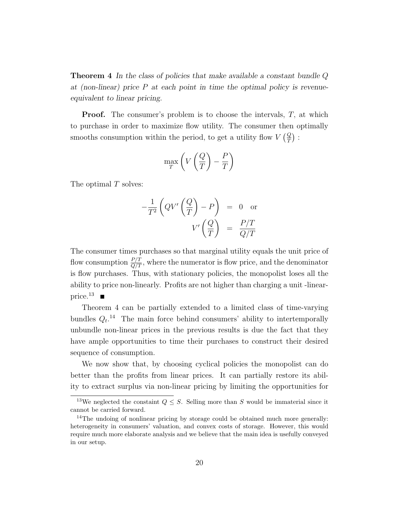Theorem 4 *In the class of policies that make available a constant bundle Q at (non-linear) price P at each point in time the optimal policy is revenueequivalent to linear pricing.*

Proof. The consumer's problem is to choose the intervals, *T,* at which to purchase in order to maximize flow utility. The consumer then optimally smooths consumption within the period, to get a utility flow  $V\left(\frac{Q}{T}\right)$ :

$$
\max_{T} \left( V \left( \frac{Q}{T} \right) - \frac{P}{T} \right)
$$

The optimal *T* solves:

$$
-\frac{1}{T^2} \left( QV' \left( \frac{Q}{T} \right) - P \right) = 0 \text{ or}
$$

$$
V' \left( \frac{Q}{T} \right) = \frac{P/T}{Q/T}
$$

The consumer times purchases so that marginal utility equals the unit price of flow consumption  $\frac{P/T}{Q/T}$ , where the numerator is flow price, and the denominator is flow purchases. Thus, with stationary policies, the monopolist loses all the ability to price non-linearly. Profits are not higher than charging a unit -linearprice.<sup>13</sup>  $\blacksquare$ 

Theorem 4 can be partially extended to a limited class of time-varying bundles  $Q_t$ <sup>14</sup> The main force behind consumers' ability to intertemporally unbundle non-linear prices in the previous results is due the fact that they have ample opportunities to time their purchases to construct their desired sequence of consumption.

We now show that, by choosing cyclical policies the monopolist can do better than the profits from linear prices. It can partially restore its ability to extract surplus via non-linear pricing by limiting the opportunities for

<sup>&</sup>lt;sup>13</sup>We neglected the constaint  $Q \leq S$ . Selling more than *S* would be immaterial since it cannot be carried forward.

<sup>&</sup>lt;sup>14</sup>The undoing of nonlinear pricing by storage could be obtained much more generally: heterogeneity in consumers' valuation, and convex costs of storage. However, this would require much more elaborate analysis and we believe that the main idea is usefully conveyed in our setup.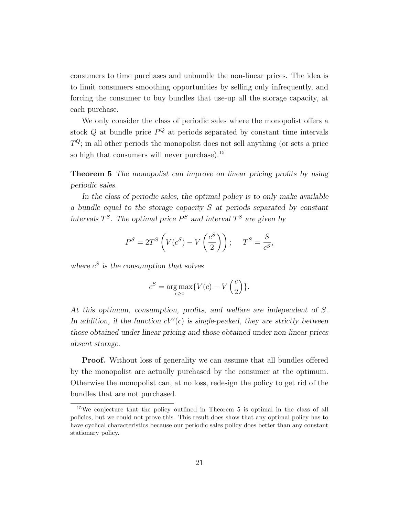consumers to time purchases and unbundle the non-linear prices. The idea is to limit consumers smoothing opportunities by selling only infrequently, and forcing the consumer to buy bundles that use-up all the storage capacity, at each purchase.

We only consider the class of periodic sales where the monopolist offers a stock  $Q$  at bundle price  $P^Q$  at periods separated by constant time intervals  $T^{Q}$ ; in all other periods the monopolist does not sell anything (or sets a price so high that consumers will never purchase).<sup>15</sup>

Theorem 5 *The monopolist can improve on linear pricing profits by using periodic sales.*

*In the class of periodic sales, the optimal policy is to only make available a bundle equal to the storage capacity S at periods separated by constant intervals*  $T<sup>S</sup>$ *. The optimal price*  $P<sup>S</sup>$  *and interval*  $T<sup>S</sup>$  *are given by* 

$$
P^{S} = 2T^{S} \left( V(c^{S}) - V\left(\frac{c^{S}}{2}\right) \right); \quad T^{S} = \frac{S}{c^{S}},
$$

*where c<sup>S</sup> is the consumption that solves*

$$
c^{S} = \underset{c \ge 0}{\arg \max} \{ V(c) - V\left(\frac{c}{2}\right) \}.
$$

*At this optimum, consumption, profits, and welfare are independent of S.* In addition, if the function  $cV'(c)$  is single-peaked, they are strictly between *those obtained under linear pricing and those obtained under non-linear prices absent storage.*

**Proof.** Without loss of generality we can assume that all bundles offered by the monopolist are actually purchased by the consumer at the optimum. Otherwise the monopolist can, at no loss, redesign the policy to get rid of the bundles that are not purchased.

<sup>15</sup>We conjecture that the policy outlined in Theorem 5 is optimal in the class of all policies, but we could not prove this. This result does show that any optimal policy has to have cyclical characteristics because our periodic sales policy does better than any constant stationary policy.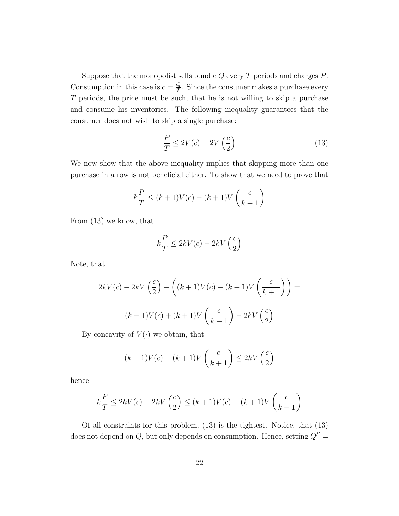Suppose that the monopolist sells bundle *Q* every *T* periods and charges *P*. Consumption in this case is  $c = \frac{Q}{T}$ . Since the consumer makes a purchase every *T* periods, the price must be such, that he is not willing to skip a purchase and consume his inventories. The following inequality guarantees that the consumer does not wish to skip a single purchase:

$$
\frac{P}{T} \le 2V(c) - 2V\left(\frac{c}{2}\right) \tag{13}
$$

We now show that the above inequality implies that skipping more than one purchase in a row is not beneficial either. To show that we need to prove that

$$
k\frac{P}{T} \le (k+1)V(c) - (k+1)V\left(\frac{c}{k+1}\right)
$$

From (13) we know, that

$$
k\frac{P}{T} \le 2kV(c) - 2kV\left(\frac{c}{2}\right)
$$

Note, that

$$
2kV(c) - 2kV\left(\frac{c}{2}\right) - \left((k+1)V(c) - (k+1)V\left(\frac{c}{k+1}\right)\right) =
$$

$$
(k-1)V(c) + (k+1)V\left(\frac{c}{k+1}\right) - 2kV\left(\frac{c}{2}\right)
$$

By concavity of  $V(\cdot)$  we obtain, that

$$
(k-1)V(c) + (k+1)V\left(\frac{c}{k+1}\right) \le 2kV\left(\frac{c}{2}\right)
$$

hence

$$
k\frac{P}{T} \le 2kV(c) - 2kV\left(\frac{c}{2}\right) \le (k+1)V(c) - (k+1)V\left(\frac{c}{k+1}\right)
$$

Of all constraints for this problem, (13) is the tightest. Notice, that (13) does not depend on  $Q$ , but only depends on consumption. Hence, setting  $Q^S$  =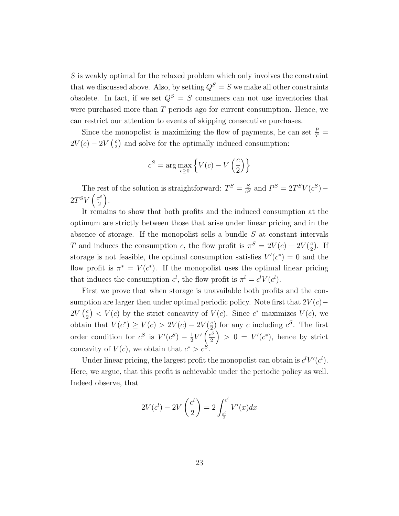*S* is weakly optimal for the relaxed problem which only involves the constraint that we discussed above. Also, by setting  $Q^S = S$  we make all other constraints obsolete. In fact, if we set  $Q^S = S$  consumers can not use inventories that were purchased more than *T* periods ago for current consumption. Hence, we can restrict our attention to events of skipping consecutive purchases.

Since the monopolist is maximizing the flow of payments, he can set  $\frac{P}{T}$  =  $2V(c) - 2V(\frac{c}{2})$  and solve for the optimally induced consumption:

$$
c^S = \arg\max_{c\geq 0}\left\{V(c) - V\left(\frac{c}{2}\right)\right\}
$$

The rest of the solution is straightforward:  $T^S = \frac{S}{c^S}$  and  $P^S = 2T^S V(c^S)$  $2T^S V \left(\frac{c^S}{2}\right)$ 2  $\big).$ 

It remains to show that both profits and the induced consumption at the optimum are strictly between those that arise under linear pricing and in the absence of storage. If the monopolist sells a bundle *S* at constant intervals *T* and induces the consumption *c*, the flow profit is  $\pi^S = 2V(c) - 2V(\frac{c}{2})$ . If storage is not feasible, the optimal consumption satisfies  $V'(c^*) = 0$  and the flow profit is  $\pi^* = V(c^*)$ . If the monopolist uses the optimal linear pricing that induces the consumption  $c^l$ , the flow profit is  $\pi^l = c^l V(c^l)$ .

First we prove that when storage is unavailable both profits and the consumption are larger then under optimal periodic policy. Note first that  $2V(c)$  $2V\left(\frac{c}{2}\right) < V(c)$  by the strict concavity of  $V(c)$ . Since  $c^*$  maximizes  $V(c)$ , we obtain that  $V(c^*) \geq V(c) > 2V(c) - 2V(\frac{c}{2})$  for any *c* including  $c^S$ . The first order condition for  $c^S$  is  $V'(c^S) - \frac{1}{2}V'(\frac{c^S}{2})$ 2  $\Big) > 0 = V'(c^*)$ , hence by strict concavity of  $V(c)$ , we obtain that  $c^* > c^S$ .

Under linear pricing, the largest profit the monopolist can obtain is  $c^l V'(c^l)$ . Here, we argue, that this profit is achievable under the periodic policy as well. Indeed observe, that

$$
2V(c^{l}) - 2V\left(\frac{c^{l}}{2}\right) = 2\int_{\frac{c^{l}}{2}}^{c^{l}} V'(x)dx
$$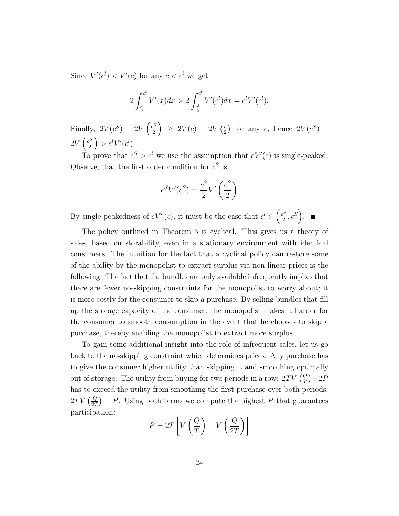Since  $V'(c^l) < V'(c)$  for any  $c < c^l$  we get

$$
2\int_{\frac{c^l}{2}}^{c^l} V'(x)dx > 2\int_{\frac{c^l}{2}}^{c^l} V'(c^l)dx = c^l V'(c^l).
$$

Finally,  $2V(c^S) - 2V\left(\frac{c^S}{2}\right)$ 2  $\left( \begin{array}{c} 2V(c) - 2V(\frac{c}{2}) \end{array} \right)$  for any *c*, hence  $2V(c^S)$  –  $2V\left(\frac{c^S}{2}\right)$ 2  $\Big) > c^l V'(c^l).$ 

To prove that  $c^S > c^l$  we use the assumption that  $cV'(c)$  is single-peaked. Observe, that the first order condition for  $c^S$  is

$$
c^SV'(c^S) = \frac{c^S}{2}V'\left(\frac{c^S}{2}\right)
$$

By single-peakedness of  $cV'(c)$ , it must be the case that  $c^l \in \left(\frac{c^S}{2}, c^S\right)$ .

The policy outlined in Theorem 5 is cyclical. This gives us a theory of sales, based on storability, even in a stationary environment with identical consumers. The intuition for the fact that a cyclical policy can restore some of the ability by the monopolist to extract surplus via non-linear prices is the following. The fact that the bundles are only available infrequently implies that there are fewer no-skipping constraints for the monopolist to worry about; it is more costly for the consumer to skip a purchase. By selling bundles that fill up the storage capacity of the consumer, the monopolist makes it harder for the consumer to smooth consumption in the event that he chooses to skip a purchase, thereby enabling the monopolist to extract more surplus.

To gain some additional insight into the role of infrequent sales, let us go back to the no-skipping constraint which determines prices. Any purchase has to give the consumer higher utility than skipping it and smoothing optimally out of storage. The utility from buying for two periods in a row:  $2TV\left(\frac{Q}{T}\right) - 2P$ has to exceed the utility from smoothing the first purchase over both periods:  $2TV\left(\frac{Q}{2T}\right) - P$ . Using both terms we compute the highest P that guarantees participation:

$$
P = 2T\left[V\left(\frac{Q}{T}\right) - V\left(\frac{Q}{2T}\right)\right]
$$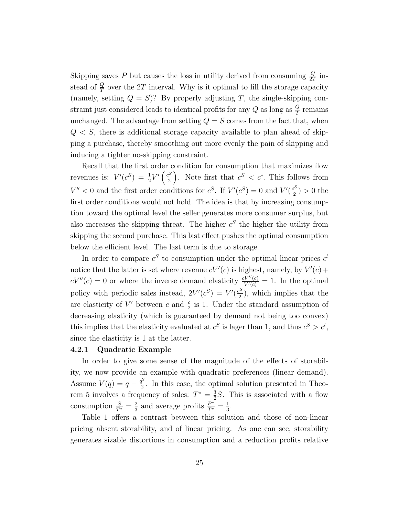Skipping saves *P* but causes the loss in utility derived from consuming  $\frac{Q}{2T}$  instead of  $\frac{Q}{T}$  over the 2*T* interval. Why is it optimal to fill the storage capacity (namely, setting  $Q = S$ )? By properly adjusting *T*, the single-skipping constraint just considered leads to identical profits for any  $Q$  as long as  $\frac{Q}{T}$  remains unchanged. The advantage from setting  $Q = S$  comes from the fact that, when  $Q < S$ , there is additional storage capacity available to plan ahead of skipping a purchase, thereby smoothing out more evenly the pain of skipping and inducing a tighter no-skipping constraint.

Recall that the first order condition for consumption that maximizes flow revenues is:  $V'(c^S) = \frac{1}{2}V'\left(\frac{c^S}{2}\right)$ 2 ). Note first that  $c^S < c^*$ . This follows from  $V'' < 0$  and the first order conditions for  $c^S$ . If  $V'(c^S) = 0$  and  $V'(\frac{c^S}{2}) > 0$  the first order conditions would not hold. The idea is that by increasing consumption toward the optimal level the seller generates more consumer surplus, but also increases the skipping threat. The higher  $c<sup>S</sup>$  the higher the utility from skipping the second purchase. This last effect pushes the optimal consumption below the efficient level. The last term is due to storage.

In order to compare  $c^S$  to consumption under the optimal linear prices  $c^l$ notice that the latter is set where revenue  $cV'(c)$  is highest, namely, by  $V'(c)$  +  $cV''(c) = 0$  or where the inverse demand elasticity  $\frac{cV''(c)}{V'(c)} = 1$ . In the optimal policy with periodic sales instead,  $2V'(c^S) = V'(\frac{c^S}{2})$ , which implies that the arc elasticity of  $V'$  between  $c$  and  $\frac{c}{2}$  is 1. Under the standard assumption of decreasing elasticity (which is guaranteed by demand not being too convex) this implies that the elasticity evaluated at  $c^S$  is lager than 1, and thus  $c^S > c^l$ , since the elasticity is 1 at the latter.

#### 4.2.1 Quadratic Example

In order to give some sense of the magnitude of the effects of storability, we now provide an example with quadratic preferences (linear demand). Assume  $V(q) = q - \frac{q^2}{2}$ . In this case, the optimal solution presented in Theorem 5 involves a frequency of sales:  $T^* = \frac{3}{2}S$ . This is associated with a flow consumption  $\frac{S}{T^*} = \frac{2}{3}$  and average profits  $\frac{P^*}{T^*} = \frac{1}{3}$ .

Table 1 offers a contrast between this solution and those of non-linear pricing absent storability, and of linear pricing. As one can see, storability generates sizable distortions in consumption and a reduction profits relative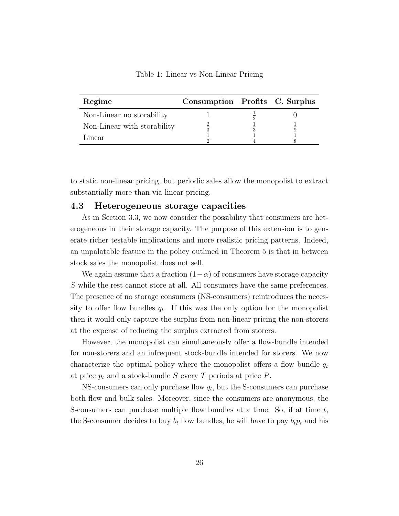| Regime                      | Consumption Profits C. Surplus |  |
|-----------------------------|--------------------------------|--|
| Non-Linear no storability   |                                |  |
| Non-Linear with storability |                                |  |
| Linear                      |                                |  |

Table 1: Linear vs Non-Linear Pricing

to static non-linear pricing, but periodic sales allow the monopolist to extract substantially more than via linear pricing.

### 4.3 Heterogeneous storage capacities

As in Section 3.3, we now consider the possibility that consumers are heterogeneous in their storage capacity. The purpose of this extension is to generate richer testable implications and more realistic pricing patterns. Indeed, an unpalatable feature in the policy outlined in Theorem 5 is that in between stock sales the monopolist does not sell.

We again assume that a fraction  $(1-\alpha)$  of consumers have storage capacity *S* while the rest cannot store at all. All consumers have the same preferences. The presence of no storage consumers (NS-consumers) reintroduces the necessity to offer flow bundles  $q_t$ . If this was the only option for the monopolist then it would only capture the surplus from non-linear pricing the non-storers at the expense of reducing the surplus extracted from storers.

However, the monopolist can simultaneously offer a flow-bundle intended for non-storers and an infrequent stock-bundle intended for storers. We now characterize the optimal policy where the monopolist offers a flow bundle  $q_t$ at price  $p_t$  and a stock-bundle *S* every *T* periods at price *P*.

NS-consumers can only purchase flow *qt*, but the S-consumers can purchase both flow and bulk sales. Moreover, since the consumers are anonymous, the S-consumers can purchase multiple flow bundles at a time. So, if at time *t*, the S-consumer decides to buy  $b_t$  flow bundles, he will have to pay  $b_t p_t$  and his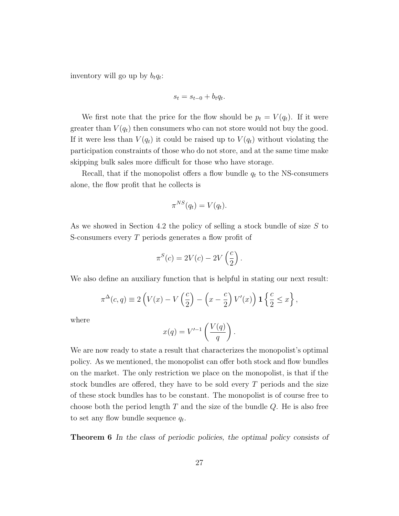inventory will go up by  $b_t q_t$ :

$$
s_t = s_{t-0} + b_t q_t.
$$

We first note that the price for the flow should be  $p_t = V(q_t)$ . If it were greater than  $V(q_t)$  then consumers who can not store would not buy the good. If it were less than  $V(q_t)$  it could be raised up to  $V(q_t)$  without violating the participation constraints of those who do not store, and at the same time make skipping bulk sales more difficult for those who have storage.

Recall, that if the monopolist offers a flow bundle  $q_t$  to the NS-consumers alone, the flow profit that he collects is

$$
\pi^{NS}(q_t) = V(q_t).
$$

As we showed in Section 4.2 the policy of selling a stock bundle of size *S* to S-consumers every *T* periods generates a flow profit of

$$
\pi^{S}(c) = 2V(c) - 2V\left(\frac{c}{2}\right).
$$

We also define an auxiliary function that is helpful in stating our next result:

$$
\pi^{\Delta}(c,q) \equiv 2\left(V(x) - V\left(\frac{c}{2}\right) - \left(x - \frac{c}{2}\right)V'(x)\right) \mathbf{1} \left\{\frac{c}{2} \le x\right\},\,
$$

where

$$
x(q) = V'^{-1}\left(\frac{V(q)}{q}\right).
$$

We are now ready to state a result that characterizes the monopolist's optimal policy. As we mentioned, the monopolist can offer both stock and flow bundles on the market. The only restriction we place on the monopolist, is that if the stock bundles are offered, they have to be sold every  $T$  periods and the size of these stock bundles has to be constant. The monopolist is of course free to choose both the period length *T* and the size of the bundle *Q*. He is also free to set any flow bundle sequence *qt*.

Theorem 6 *In the class of periodic policies, the optimal policy consists of*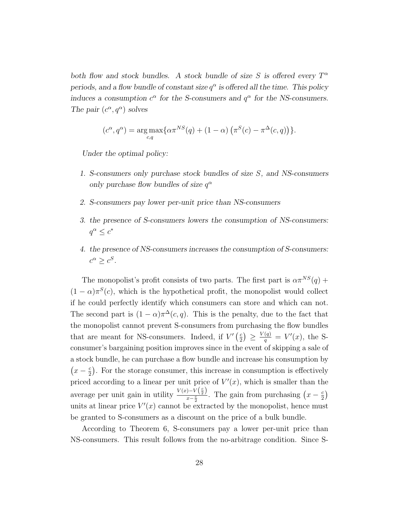*both flow and stock bundles. A stock bundle of size S* is offered every  $T^{\alpha}$ *periods, and a flow bundle of constant size*  $q^{\alpha}$  *is offered all the time. This policy induces a consumption*  $c^{\alpha}$  *for the S-consumers and*  $q^{\alpha}$  *for the NS-consumers. The pair*  $(c^{\alpha}, q^{\alpha})$  *solves* 

$$
(c^{\alpha}, q^{\alpha}) = \underset{c,q}{\arg \max} \{ \alpha \pi^{NS}(q) + (1 - \alpha) \left( \pi^{S}(c) - \pi^{\Delta}(c, q) \right) \}.
$$

*Under the optimal policy:*

- *1. S-consumers only purchase stock bundles of size S, and NS-consumers only purchase flow bundles of size*  $q^{\alpha}$
- *2. S-consumers pay lower per-unit price than NS-consumers*
- *3. the presence of S-consumers lowers the consumption of NS-consumers:*  $q^{\alpha} \leq c^*$
- *4. the presence of NS-consumers increases the consumption of S-consumers:*  $c^{\alpha} \geq c^{S}$ *.*

The monopolist's profit consists of two parts. The first part is  $\alpha \pi^{NS}(q)$  +  $(1 - \alpha)\pi^{S}(c)$ , which is the hypothetical profit, the monopolist would collect if he could perfectly identify which consumers can store and which can not. The second part is  $(1 - \alpha)\pi^{\Delta}(c, q)$ . This is the penalty, due to the fact that the monopolist cannot prevent S-consumers from purchasing the flow bundles that are meant for NS-consumers. Indeed, if  $V'(\frac{c}{2}) \geq \frac{V(q)}{q} = V'(x)$ , the Sconsumer's bargaining position improves since in the event of skipping a sale of a stock bundle, he can purchase a flow bundle and increase his consumption by  $(x - \frac{c}{2})$ . For the storage consumer, this increase in consumption is effectively priced according to a linear per unit price of  $V'(x)$ , which is smaller than the average per unit gain in utility  $\frac{V(x)-V(\frac{c}{2})}{x-\frac{c}{2}}$  $\frac{(-1)^{-(1-x)}}{x-\frac{c}{2}}$ . The gain from purchasing  $(x-\frac{c}{2})$ units at linear price  $V'(x)$  cannot be extracted by the monopolist, hence must be granted to S-consumers as a discount on the price of a bulk bundle.

According to Theorem 6, S-consumers pay a lower per-unit price than NS-consumers. This result follows from the no-arbitrage condition. Since S-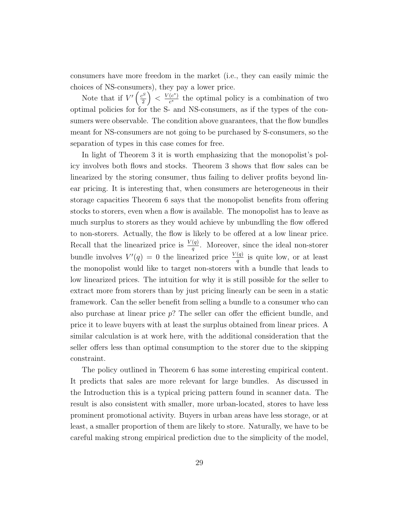consumers have more freedom in the market (i.e., they can easily mimic the choices of NS-consumers), they pay a lower price.

Note that if  $V'(\frac{c^S}{2})$ 2  $\int_{0}^{\infty}$  <  $\frac{V(c^{*})}{c^{*}}$  the optimal policy is a combination of two optimal policies for for the S- and NS-consumers, as if the types of the consumers were observable. The condition above guarantees, that the flow bundles meant for NS-consumers are not going to be purchased by S-consumers, so the separation of types in this case comes for free.

In light of Theorem 3 it is worth emphasizing that the monopolist's policy involves both flows and stocks. Theorem 3 shows that flow sales can be linearized by the storing consumer, thus failing to deliver profits beyond linear pricing. It is interesting that, when consumers are heterogeneous in their storage capacities Theorem 6 says that the monopolist benefits from offering stocks to storers, even when a flow is available. The monopolist has to leave as much surplus to storers as they would achieve by unbundling the flow offered to non-storers. Actually, the flow is likely to be offered at a low linear price. Recall that the linearized price is  $\frac{V(q)}{q}$ . Moreover, since the ideal non-storer bundle involves  $V'(q) = 0$  the linearized price  $\frac{V(q)}{q}$  is quite low, or at least the monopolist would like to target non-storers with a bundle that leads to low linearized prices. The intuition for why it is still possible for the seller to extract more from storers than by just pricing linearly can be seen in a static framework. Can the seller benefit from selling a bundle to a consumer who can also purchase at linear price  $p$ ? The seller can offer the efficient bundle, and price it to leave buyers with at least the surplus obtained from linear prices. A similar calculation is at work here, with the additional consideration that the seller offers less than optimal consumption to the storer due to the skipping constraint.

The policy outlined in Theorem 6 has some interesting empirical content. It predicts that sales are more relevant for large bundles. As discussed in the Introduction this is a typical pricing pattern found in scanner data. The result is also consistent with smaller, more urban-located, stores to have less prominent promotional activity. Buyers in urban areas have less storage, or at least, a smaller proportion of them are likely to store. Naturally, we have to be careful making strong empirical prediction due to the simplicity of the model,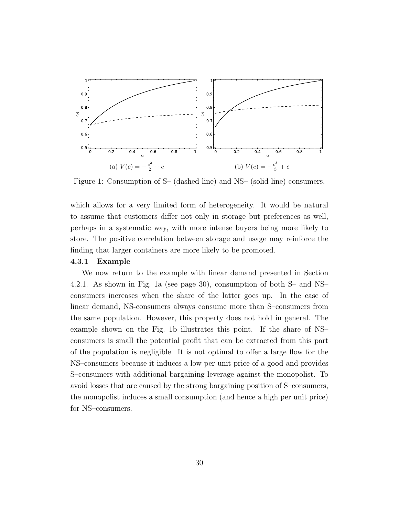

Figure 1: Consumption of S– (dashed line) and NS– (solid line) consumers.

which allows for a very limited form of heterogeneity. It would be natural to assume that customers differ not only in storage but preferences as well, perhaps in a systematic way, with more intense buyers being more likely to store. The positive correlation between storage and usage may reinforce the finding that larger containers are more likely to be promoted.

#### 4.3.1 Example

We now return to the example with linear demand presented in Section 4.2.1. As shown in Fig. 1a (see page 30), consumption of both S– and NS– consumers increases when the share of the latter goes up. In the case of linear demand, NS-consumers always consume more than S–consumers from the same population. However, this property does not hold in general. The example shown on the Fig. 1b illustrates this point. If the share of NS– consumers is small the potential profit that can be extracted from this part of the population is negligible. It is not optimal to offer a large flow for the NS–consumers because it induces a low per unit price of a good and provides S–consumers with additional bargaining leverage against the monopolist. To avoid losses that are caused by the strong bargaining position of S–consumers, the monopolist induces a small consumption (and hence a high per unit price) for NS–consumers.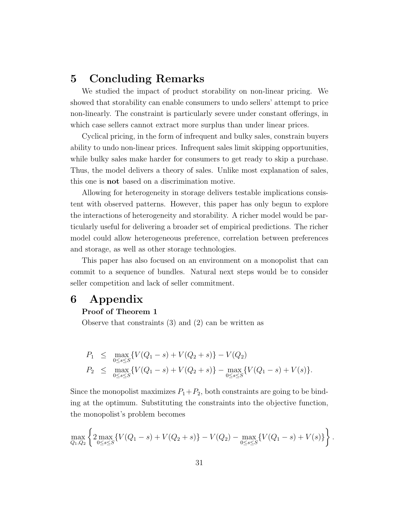## 5 Concluding Remarks

We studied the impact of product storability on non-linear pricing. We showed that storability can enable consumers to undo sellers' attempt to price non-linearly. The constraint is particularly severe under constant offerings, in which case sellers cannot extract more surplus than under linear prices.

Cyclical pricing, in the form of infrequent and bulky sales, constrain buyers ability to undo non-linear prices. Infrequent sales limit skipping opportunities, while bulky sales make harder for consumers to get ready to skip a purchase. Thus, the model delivers a theory of sales. Unlike most explanation of sales, this one is not based on a discrimination motive.

Allowing for heterogeneity in storage delivers testable implications consistent with observed patterns. However, this paper has only begun to explore the interactions of heterogeneity and storability. A richer model would be particularly useful for delivering a broader set of empirical predictions. The richer model could allow heterogeneous preference, correlation between preferences and storage, as well as other storage technologies.

This paper has also focused on an environment on a monopolist that can commit to a sequence of bundles. Natural next steps would be to consider seller competition and lack of seller commitment.

## 6 Appendix

### Proof of Theorem 1

Observe that constraints (3) and (2) can be written as

$$
P_1 \leq \max_{0 \leq s \leq S} \{ V(Q_1 - s) + V(Q_2 + s) \} - V(Q_2)
$$
  
\n
$$
P_2 \leq \max_{0 \leq s \leq S} \{ V(Q_1 - s) + V(Q_2 + s) \} - \max_{0 \leq s \leq S} \{ V(Q_1 - s) + V(s) \}.
$$

Since the monopolist maximizes  $P_1+P_2$ , both constraints are going to be binding at the optimum. Substituting the constraints into the objective function, the monopolist's problem becomes

$$
\max_{Q_1,Q_2} \left\{ 2 \max_{0 \le s \le S} \{ V(Q_1 - s) + V(Q_2 + s) \} - V(Q_2) - \max_{0 \le s \le S} \{ V(Q_1 - s) + V(s) \} \right\}.
$$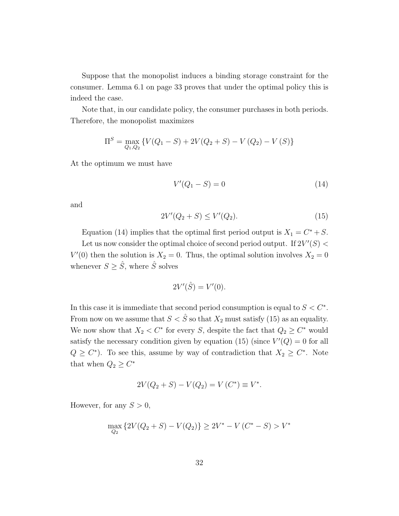Suppose that the monopolist induces a binding storage constraint for the consumer. Lemma 6.1 on page 33 proves that under the optimal policy this is indeed the case.

Note that, in our candidate policy, the consumer purchases in both periods. Therefore, the monopolist maximizes

$$
\Pi^{S} = \max_{Q_1, Q_2} \{ V(Q_1 - S) + 2V(Q_2 + S) - V(Q_2) - V(S) \}
$$

At the optimum we must have

$$
V'(Q_1 - S) = 0 \t\t(14)
$$

and

$$
2V'(Q_2 + S) \le V'(Q_2). \tag{15}
$$

Equation (14) implies that the optimal first period output is  $X_1 = C^* + S$ . Let us now consider the optimal choice of second period output. If  $2V'(S)$  <  $V'(0)$  then the solution is  $X_2 = 0$ . Thus, the optimal solution involves  $X_2 = 0$ whenever  $S \geq \hat{S}$ , where  $\hat{S}$  solves

$$
2V'(\hat{S}) = V'(0).
$$

In this case it is immediate that second period consumption is equal to  $S < C^*$ . From now on we assume that  $S < \hat{S}$  so that  $X_2$  must satisfy (15) as an equality. We now show that  $X_2 < C^*$  for every *S*, despite the fact that  $Q_2 \ge C^*$  would satisfy the necessary condition given by equation (15) (since  $V'(Q) = 0$  for all  $Q \geq C^*$ ). To see this, assume by way of contradiction that  $X_2 \geq C^*$ . Note that when  $Q_2 \geq C^*$ 

$$
2V(Q_2 + S) - V(Q_2) = V(C^*) \equiv V^*.
$$

However, for any  $S > 0$ ,

$$
\max_{Q_2} \left\{ 2V(Q_2 + S) - V(Q_2) \right\} \ge 2V^* - V(C^* - S) > V^*
$$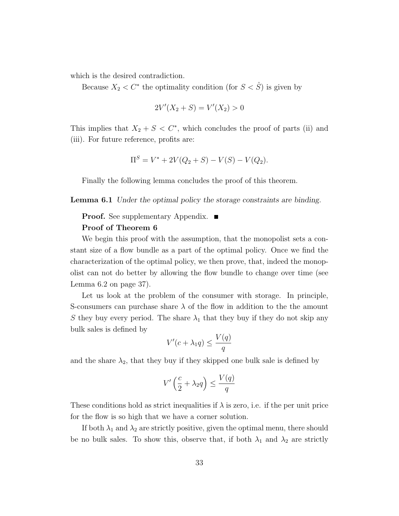which is the desired contradiction.

Because  $X_2 < C^*$  the optimality condition (for  $S < \hat{S}$ ) is given by

$$
2V'(X_2 + S) = V'(X_2) > 0
$$

This implies that  $X_2 + S < C^*$ , which concludes the proof of parts (ii) and (iii). For future reference, profits are:

$$
\Pi^{S} = V^* + 2V(Q_2 + S) - V(S) - V(Q_2).
$$

Finally the following lemma concludes the proof of this theorem.

Lemma 6.1 *Under the optimal policy the storage constraints are binding.*

## **Proof.** See supplementary Appendix. ■ Proof of Theorem 6

We begin this proof with the assumption, that the monopolist sets a constant size of a flow bundle as a part of the optimal policy. Once we find the characterization of the optimal policy, we then prove, that, indeed the monopolist can not do better by allowing the flow bundle to change over time (see

Lemma 6.2 on page 37).

Let us look at the problem of the consumer with storage. In principle, S-consumers can purchase share  $\lambda$  of the flow in addition to the the amount *S* they buy every period. The share  $\lambda_1$  that they buy if they do not skip any bulk sales is defined by

$$
V'(c + \lambda_1 q) \le \frac{V(q)}{q}
$$

and the share  $\lambda_2$ , that they buy if they skipped one bulk sale is defined by

$$
V'\left(\frac{c}{2} + \lambda_2 q\right) \le \frac{V(q)}{q}
$$

These conditions hold as strict inequalities if  $\lambda$  is zero, i.e. if the per unit price for the flow is so high that we have a corner solution.

If both  $\lambda_1$  and  $\lambda_2$  are strictly positive, given the optimal menu, there should be no bulk sales. To show this, observe that, if both  $\lambda_1$  and  $\lambda_2$  are strictly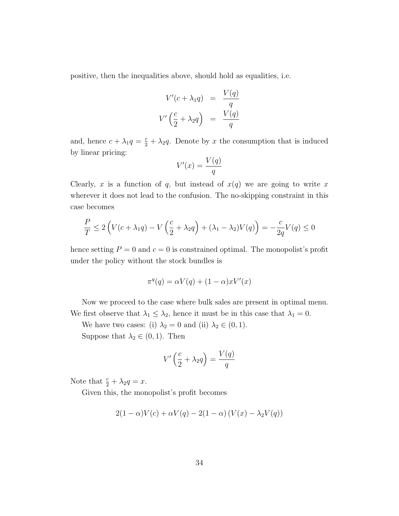positive, then the inequalities above, should hold as equalities, i.e.

$$
V'(c + \lambda_1 q) = \frac{V(q)}{q}
$$

$$
V'\left(\frac{c}{2} + \lambda_2 q\right) = \frac{V(q)}{q}
$$

and, hence  $c + \lambda_1 q = \frac{c}{2} + \lambda_2 q$ . Denote by *x* the consumption that is induced by linear pricing:

$$
V'(x) = \frac{V(q)}{q}
$$

Clearly,  $x$  is a function of  $q$ , but instead of  $x(q)$  we are going to write  $x$ wherever it does not lead to the confusion. The no-skipping constraint in this case becomes

$$
\frac{P}{T} \le 2\left(V(c+\lambda_1q)-V\left(\frac{c}{2}+\lambda_2q\right)+(\lambda_1-\lambda_2)V(q)\right)=-\frac{c}{2q}V(q) \le 0
$$

hence setting  $P = 0$  and  $c = 0$  is constrained optimal. The monopolist's profit under the policy without the stock bundles is

$$
\pi^q(q) = \alpha V(q) + (1 - \alpha)xV'(x)
$$

Now we proceed to the case where bulk sales are present in optimal menu. We first observe that  $\lambda_1 \leq \lambda_2$ , hence it must be in this case that  $\lambda_1 = 0$ .

We have two cases: (i)  $\lambda_2 = 0$  and (ii)  $\lambda_2 \in (0, 1)$ .

Suppose that  $\lambda_2 \in (0, 1)$ . Then

$$
V'\left(\frac{c}{2} + \lambda_2 q\right) = \frac{V(q)}{q}
$$

Note that  $\frac{c}{2} + \lambda_2 q = x$ .

Given this, the monopolist's profit becomes

$$
2(1 - \alpha)V(c) + \alpha V(q) - 2(1 - \alpha) (V(x) - \lambda_2 V(q))
$$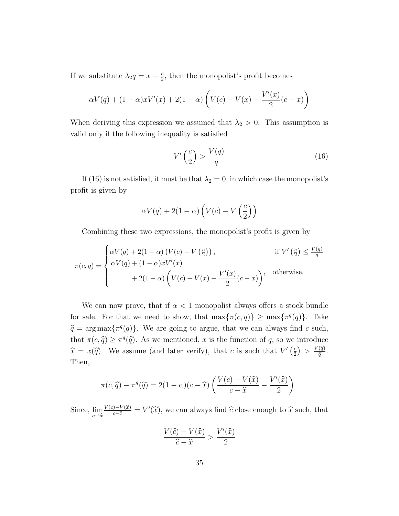If we substitute  $\lambda_2 q = x - \frac{c}{2}$ , then the monopolist's profit becomes

$$
\alpha V(q) + (1 - \alpha)xV'(x) + 2(1 - \alpha)\left(V(c) - V(x) - \frac{V'(x)}{2}(c - x)\right)
$$

When deriving this expression we assumed that  $\lambda_2 > 0$ . This assumption is valid only if the following inequality is satisfied

$$
V'\left(\frac{c}{2}\right) > \frac{V(q)}{q} \tag{16}
$$

If (16) is not satisfied, it must be that  $\lambda_2 = 0$ , in which case the monopolist's profit is given by

$$
\alpha V(q) + 2(1-\alpha)\left(V(c) - V\left(\frac{c}{2}\right)\right)
$$

Combining these two expressions, the monopolist's profit is given by

$$
\pi(c,q) = \begin{cases}\n\alpha V(q) + 2(1-\alpha) (V(c) - V(\frac{c}{2})), & \text{if } V'(\frac{c}{2}) \le \frac{V(q)}{q} \\
\alpha V(q) + (1-\alpha)xV'(x) \\
+ 2(1-\alpha) (V(c) - V(x) - \frac{V'(x)}{2}(c-x)), & \text{otherwise.}\n\end{cases}
$$

We can now prove, that if  $\alpha < 1$  monopolist always offers a stock bundle for sale. For that we need to show, that  $\max\{\pi(c, q)\} \geq \max\{\pi^q(q)\}.$  Take  $\hat{q} = \arg \max \{ \pi^q(q) \}.$  We are going to argue, that we can always find *c* such, that  $\pi(c, \hat{q}) \geq \pi^q(\hat{q})$ . As we mentioned, *x* is the function of *q*, so we introduce  $\hat{x} = x(\hat{q})$ . We assume (and later verify), that *c* is such that  $V'(\frac{c}{2}) > \frac{V(\hat{q})}{\hat{q}}$ . Then,

$$
\pi(c,\widehat{q}) - \pi^{q}(\widehat{q}) = 2(1-\alpha)(c-\widehat{x})\left(\frac{V(c)-V(\widehat{x})}{c-\widehat{x}} - \frac{V'(\widehat{x})}{2}\right).
$$

Since,  $\lim_{c \to \hat{x}} \frac{V(c) - V(\hat{x})}{c - \hat{x}} = V'(\hat{x})$ , we can always find  $\hat{c}$  close enough to  $\hat{x}$  such, that

$$
\frac{V(\widehat{c}) - V(\widehat{x})}{\widehat{c} - \widehat{x}} > \frac{V'(\widehat{x})}{2}
$$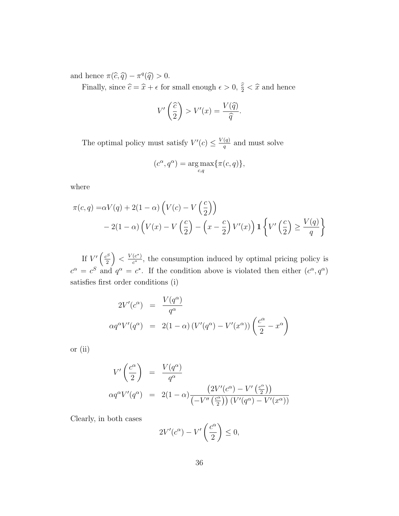and hence  $\pi(\widehat{c}, \widehat{q}) - \pi^q(\widehat{q}) > 0$ .

Finally, since  $\hat{c} = \hat{x} + \epsilon$  for small enough  $\epsilon > 0$ ,  $\frac{\hat{c}}{2} < \hat{x}$  and hence

$$
V'\left(\frac{\widehat{c}}{2}\right) > V'(x) = \frac{V(\widehat{q})}{\widehat{q}}.
$$

The optimal policy must satisfy  $V'(c) \leq \frac{V(q)}{q}$  and must solve

$$
(c^{\alpha}, q^{\alpha}) = \underset{c,q}{\arg \max} \{ \pi(c,q) \},
$$

where

$$
\pi(c,q) = \alpha V(q) + 2(1-\alpha) \left( V(c) - V\left(\frac{c}{2}\right) \right)
$$
  
-2(1-\alpha) \left( V(x) - V\left(\frac{c}{2}\right) - \left(x - \frac{c}{2}\right) V'(x) \right) \mathbf{1} \left\{ V'\left(\frac{c}{2}\right) \ge \frac{V(q)}{q} \right\}

If  $V'(\frac{c^S}{2})$ 2  $\left( \int_{0}^{x} \right)$  <  $\frac{V(c^*)}{c^*}$ , the consumption induced by optimal pricing policy is  $c^{\alpha} = c^{S}$  and  $q^{\alpha} = c^{*}$ . If the condition above is violated then either  $(c^{\alpha}, q^{\alpha})$ satisfies first order conditions (i)

$$
2V'(c^{\alpha}) = \frac{V(q^{\alpha})}{q^{\alpha}}
$$
  
\n
$$
\alpha q^{\alpha} V'(q^{\alpha}) = 2(1-\alpha) (V'(q^{\alpha}) - V'(x^{\alpha})) \left(\frac{c^{\alpha}}{2} - x^{\alpha}\right)
$$

or (ii)

$$
V'\left(\frac{c^{\alpha}}{2}\right) = \frac{V(q^{\alpha})}{q^{\alpha}}
$$
  
\n
$$
\alpha q^{\alpha}V'(q^{\alpha}) = 2(1-\alpha)\frac{\left(2V'(c^{\alpha}) - V'\left(\frac{c^{\alpha}}{2}\right)\right)}{\left(-V''\left(\frac{c^{\alpha}}{2}\right)\right)\left(V'(q^{\alpha}) - V'(x^{\alpha})\right)}
$$

Clearly, in both cases

$$
2V'(c^{\alpha}) - V'\left(\frac{c^{\alpha}}{2}\right) \leq 0,
$$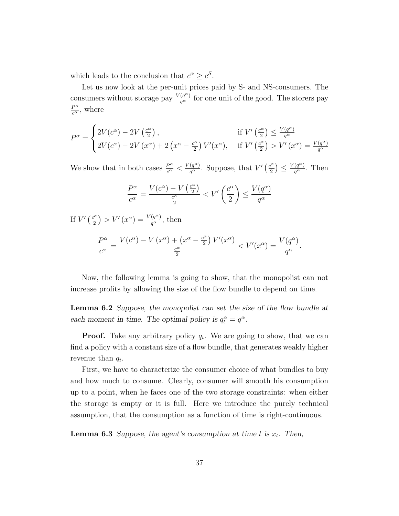which leads to the conclusion that  $c^{\alpha} \geq c^{S}$ .

Let us now look at the per-unit prices paid by S- and NS-consumers. The consumers without storage pay  $\frac{V(q^{\alpha})}{q^{\alpha}}$  for one unit of the good. The storers pay  $\frac{P^{\alpha}}{c^{\alpha}}$ , where

$$
P^{\alpha} = \begin{cases} 2V(c^{\alpha}) - 2V\left(\frac{c^{\alpha}}{2}\right), & \text{if } V' \left(\frac{c^{\alpha}}{2}\right) \le \frac{V(q^{\alpha})}{q^{\alpha}}\\ 2V(c^{\alpha}) - 2V\left(x^{\alpha}\right) + 2\left(x^{\alpha} - \frac{c^{\alpha}}{2}\right)V'(x^{\alpha}), & \text{if } V' \left(\frac{c^{\alpha}}{2}\right) > V'(x^{\alpha}) = \frac{V(q^{\alpha})}{q^{\alpha}} \end{cases}
$$

We show that in both cases  $\frac{P^{\alpha}}{c^{\alpha}} < \frac{V(q^{\alpha})}{q^{\alpha}}$ . Suppose, that  $V'(\frac{c^{\alpha}}{2}) \leq \frac{V(q^{\alpha})}{q^{\alpha}}$ . Then

$$
\frac{P^{\alpha}}{c^{\alpha}} = \frac{V(c^{\alpha}) - V(\frac{c^{\alpha}}{2})}{\frac{c^{\alpha}}{2}} < V'(\frac{c^{\alpha}}{2}) \le \frac{V(q^{\alpha})}{q^{\alpha}}
$$

If  $V'(\frac{c^{\alpha}}{2}) > V'(x^{\alpha}) = \frac{V(q^{\alpha})}{q^{\alpha}},$  then

$$
\frac{P^{\alpha}}{c^{\alpha}} = \frac{V(c^{\alpha}) - V(x^{\alpha}) + (x^{\alpha} - \frac{c^{\alpha}}{2}) V'(x^{\alpha})}{\frac{c^{\alpha}}{2}} < V'(x^{\alpha}) = \frac{V(q^{\alpha})}{q^{\alpha}}.
$$

Now, the following lemma is going to show, that the monopolist can not increase profits by allowing the size of the flow bundle to depend on time.

Lemma 6.2 *Suppose, the monopolist can set the size of the flow bundle at each moment in time. The optimal policy is*  $q_t^{\alpha} = q^{\alpha}$ .

**Proof.** Take any arbitrary policy  $q_t$ . We are going to show, that we can find a policy with a constant size of a flow bundle, that generates weakly higher revenue than *qt*.

First, we have to characterize the consumer choice of what bundles to buy and how much to consume. Clearly, consumer will smooth his consumption up to a point, when he faces one of the two storage constraints: when either the storage is empty or it is full. Here we introduce the purely technical assumption, that the consumption as a function of time is right-continuous.

**Lemma 6.3** Suppose, the agent's consumption at time t is  $x_t$ . Then,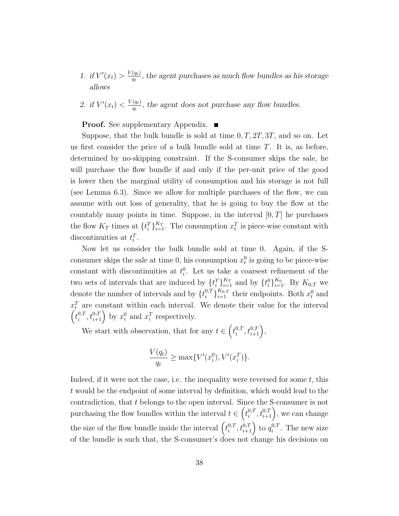- *1. if*  $V'(x_t) > \frac{V(q_t)}{q_t}$ , the agent purchases as much flow bundles as his storage *allows*
- 2. *if*  $V'(x_t) < \frac{V(q_t)}{q_t}$ , the agent does not purchase any flow bundles.

**Proof.** See supplementary Appendix. ■

Suppose, that the bulk bundle is sold at time 0*,T,* 2*T,* 3*T,* and so on. Let us first consider the price of a bulk bundle sold at time *T*. It is, as before, determined by no-skipping constraint. If the S-consumer skips the sale, he will purchase the flow bundle if and only if the per-unit price of the good is lower then the marginal utility of consumption and his storage is not full (see Lemma 6.3). Since we allow for multiple purchases of the flow, we can assume with out loss of generality, that he is going to buy the flow at the countably many points in time. Suppose, in the interval  $[0, T]$  he purchases the flow  $K_T$  times at  $\{t_i^T\}_{i=1}^{K_T}$ . The consumption  $x_i^T$  is piece-wise constant with discontinuities at  $t_i^T$ .

Now let us consider the bulk bundle sold at time 0. Again, if the Sconsumer skips the sale at time 0, his consumption  $x_t^0$  is going to be piece-wise constant with discontinuities at  $t_i^0$ . Let us take a coarsest refinement of the two sets of intervals that are induced by  $\{t_i^T\}_{i=1}^{K_T}$  and by  $\{t_i^0\}_{i=1}^{K_0}$ . By  $K_{0,T}$  we denote the number of intervals and by  $\{t_i^{0,T}\}_{i=1}^{K_{0,T}}$  their endpoints. Both  $x_t^0$  and  $x_t^T$  are constant within each interval. We denote their value for the interval  $(i_t^{0,T}, t_{i+1}^{0,T})$  by  $x_i^0$  and  $x_i^T$  respectively.

We start with observation, that for any  $t \in \left(t_i^{0,T}, t_{i+1}^{0,T}\right)$ ,

$$
\frac{V(q_t)}{q_t} \ge \max\{V'(x_i^0), V'(x_i^T)\}.
$$

Indeed, if it were not the case, i.e. the inequality were reversed for some *t*, this *t* would be the endpoint of some interval by definition, which would lead to the contradiction, that *t* belongs to the open interval. Since the S-consumer is not purchasing the flow bundles within the interval  $t \in \left(t_i^{0,T}, t_{i+1}^{0,T}\right)$ , we can change the size of the flow bundle inside the interval  $(t_i^{0,T}, t_{i+1}^{0,T})$  to  $q_i^{0,T}$ . The new size of the bundle is such that, the S-consumer's does not change his decisions on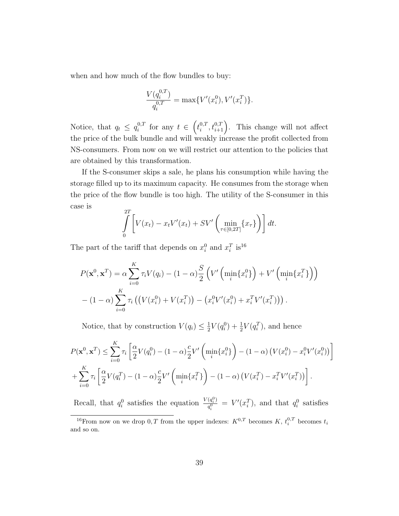when and how much of the flow bundles to buy:

$$
\frac{V(q_i^{0,T})}{q_i^{0,T}} = \max\{V'(x_i^0), V'(x_i^T)\}.
$$

Notice, that  $q_t \leq q_i^{0,T}$  for any  $t \in (t_i^{0,T}, t_{i+1}^{0,T})$ . This change will not affect the price of the bulk bundle and will weakly increase the profit collected from NS-consumers. From now on we will restrict our attention to the policies that are obtained by this transformation.

If the S-consumer skips a sale, he plans his consumption while having the storage filled up to its maximum capacity. He consumes from the storage when the price of the flow bundle is too high. The utility of the S-consumer in this case is

$$
\int_{0}^{2T} \left[ V(x_t) - x_t V'(x_t) + SV'\left(\min_{\tau \in [0,2T]} \{x_\tau\}\right) \right] dt.
$$

The part of the tariff that depends on  $x_i^0$  and  $x_i^T$  is<sup>16</sup>

$$
P(\mathbf{x}^0, \mathbf{x}^T) = \alpha \sum_{i=0}^K \tau_i V(q_i) - (1 - \alpha) \frac{S}{2} \left( V' \left( \min_i \{ x_i^0 \} \right) + V' \left( \min_i \{ x_i^T \} \right) \right)
$$

$$
- (1 - \alpha) \sum_{i=0}^K \tau_i \left( \left( V(x_i^0) + V(x_i^T) \right) - \left( x_i^0 V'(x_i^0) + x_i^T V'(x_i^T) \right) \right).
$$

Notice, that by construction  $V(q_i) \leq \frac{1}{2}V(q_i^0) + \frac{1}{2}V(q_i^T)$ , and hence

$$
P(\mathbf{x}^{0}, \mathbf{x}^{T}) \leq \sum_{i=0}^{K} \tau_{i} \left[ \frac{\alpha}{2} V(q_{i}^{0}) - (1 - \alpha) \frac{c}{2} V' \left( \min_{i} \{x_{i}^{0}\} \right) - (1 - \alpha) \left( V(x_{i}^{0}) - x_{i}^{0} V'(x_{i}^{0}) \right) \right] + \sum_{i=0}^{K} \tau_{i} \left[ \frac{\alpha}{2} V(q_{i}^{T}) - (1 - \alpha) \frac{c}{2} V' \left( \min_{i} \{x_{i}^{T}\} \right) - (1 - \alpha) \left( V(x_{i}^{T}) - x_{i}^{T} V'(x_{i}^{T}) \right) \right].
$$

Recall, that  $q_i^0$  satisfies the equation  $\frac{V(q_i^0)}{q_i^0}$  $q_i^{(q_i^{\gamma})} = V'(x_i^T)$ , and that  $q_i^0$  satisfies

<sup>&</sup>lt;sup>16</sup>From now on we drop 0, T from the upper indexes:  $K^{0,T}$  becomes  $K$ ,  $t_i^{0,T}$  becomes  $t_i$ and so on.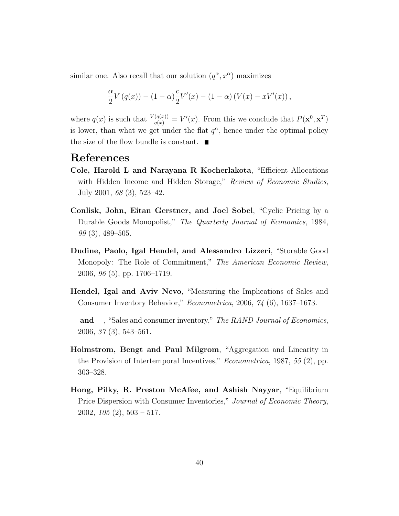similar one. Also recall that our solution  $(q^{\alpha}, x^{\alpha})$  maximizes

$$
\frac{\alpha}{2}V(q(x)) - (1 - \alpha)\frac{c}{2}V'(x) - (1 - \alpha)(V(x) - xV'(x)),
$$

where  $q(x)$  is such that  $\frac{V(q(x))}{q(x)} = V'(x)$ . From this we conclude that  $P(\mathbf{x}^0, \mathbf{x}^T)$ is lower, than what we get under the flat  $q^{\alpha}$ , hence under the optimal policy the size of the flow bundle is constant.  $\blacksquare$ 

## References

- Cole, Harold L and Narayana R Kocherlakota, "Efficient Allocations with Hidden Income and Hidden Storage," *Review of Economic Studies*, July 2001, *68* (3), 523–42.
- Conlisk, John, Eitan Gerstner, and Joel Sobel, "Cyclic Pricing by a Durable Goods Monopolist," *The Quarterly Journal of Economics*, 1984, *99* (3), 489–505.
- Dudine, Paolo, Igal Hendel, and Alessandro Lizzeri, "Storable Good Monopoly: The Role of Commitment," *The American Economic Review*, 2006, *96* (5), pp. 1706–1719.
- Hendel, Igal and Aviv Nevo, "Measuring the Implications of Sales and Consumer Inventory Behavior," *Econometrica*, 2006, *74* (6), 1637–1673.
- and , "Sales and consumer inventory," *The RAND Journal of Economics*, 2006, *37* (3), 543–561.
- Holmstrom, Bengt and Paul Milgrom, "Aggregation and Linearity in the Provision of Intertemporal Incentives," *Econometrica*, 1987, *55* (2), pp. 303–328.
- Hong, Pilky, R. Preston McAfee, and Ashish Nayyar, "Equilibrium Price Dispersion with Consumer Inventories," *Journal of Economic Theory*, 2002, *105* (2), 503 – 517.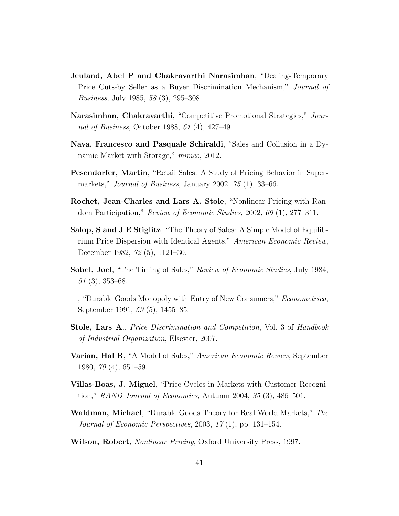- Jeuland, Abel P and Chakravarthi Narasimhan, "Dealing-Temporary Price Cuts-by Seller as a Buyer Discrimination Mechanism," *Journal of Business*, July 1985, *58* (3), 295–308.
- Narasimhan, Chakravarthi, "Competitive Promotional Strategies," *Journal of Business*, October 1988, *61* (4), 427–49.
- Nava, Francesco and Pasquale Schiraldi, "Sales and Collusion in a Dynamic Market with Storage," *mimeo*, 2012.
- Pesendorfer, Martin, "Retail Sales: A Study of Pricing Behavior in Supermarkets," *Journal of Business*, January 2002, *75* (1), 33–66.
- Rochet, Jean-Charles and Lars A. Stole, "Nonlinear Pricing with Random Participation," *Review of Economic Studies*, 2002, *69* (1), 277–311.
- Salop, S and J E Stiglitz, "The Theory of Sales: A Simple Model of Equilibrium Price Dispersion with Identical Agents," *American Economic Review*, December 1982, *72* (5), 1121–30.
- Sobel, Joel, "The Timing of Sales," *Review of Economic Studies*, July 1984, *51* (3), 353–68.
- , "Durable Goods Monopoly with Entry of New Consumers," *Econometrica*, September 1991, *59* (5), 1455–85.
- Stole, Lars A., *Price Discrimination and Competition*, Vol. 3 of *Handbook of Industrial Organization*, Elsevier, 2007.
- Varian, Hal R, "A Model of Sales," *American Economic Review*, September 1980, *70* (4), 651–59.
- Villas-Boas, J. Miguel, "Price Cycles in Markets with Customer Recognition," *RAND Journal of Economics*, Autumn 2004, *35* (3), 486–501.
- Waldman, Michael, "Durable Goods Theory for Real World Markets," *The Journal of Economic Perspectives*, 2003, *17* (1), pp. 131–154.
- Wilson, Robert, *Nonlinear Pricing*, Oxford University Press, 1997.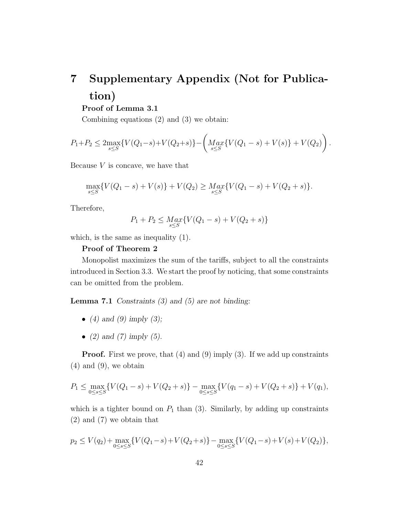# 7 Supplementary Appendix (Not for Publication)

Proof of Lemma 3.1

Combining equations (2) and (3) we obtain:

$$
P_1 + P_2 \leq 2 \max_{s \leq S} \{ V(Q_1 - s) + V(Q_2 + s) \} - \left( \underset{s \leq S}{Max} \{ V(Q_1 - s) + V(s) \} + V(Q_2) \right).
$$

Because *V* is concave, we have that

$$
\max_{s \leq S} \{ V(Q_1 - s) + V(s) \} + V(Q_2) \geq \max_{s \leq S} \{ V(Q_1 - s) + V(Q_2 + s) \}.
$$

Therefore,

$$
P_1 + P_2 \leq \underset{s \leq S}{\operatorname{Max}} \{ V(Q_1 - s) + V(Q_2 + s) \}
$$

which, is the same as inequality (1).

#### Proof of Theorem 2

Monopolist maximizes the sum of the tariffs, subject to all the constraints introduced in Section 3.3. We start the proof by noticing, that some constraints can be omitted from the problem.

Lemma 7.1 *Constraints (3) and (5) are not binding:*

- *• (4) and (9) imply (3);*
- *• (2) and (7) imply (5).*

**Proof.** First we prove, that (4) and (9) imply (3). If we add up constraints  $(4)$  and  $(9)$ , we obtain

$$
P_1 \le \max_{0 \le s \le S} \{ V(Q_1 - s) + V(Q_2 + s) \} - \max_{0 \le s \le S} \{ V(q_1 - s) + V(Q_2 + s) \} + V(q_1),
$$

which is a tighter bound on  $P_1$  than  $(3)$ . Similarly, by adding up constraints (2) and (7) we obtain that

$$
p_2 \le V(q_2) + \max_{0 \le s \le S} \{ V(Q_1 - s) + V(Q_2 + s) \} - \max_{0 \le s \le S} \{ V(Q_1 - s) + V(s) + V(Q_2) \},\
$$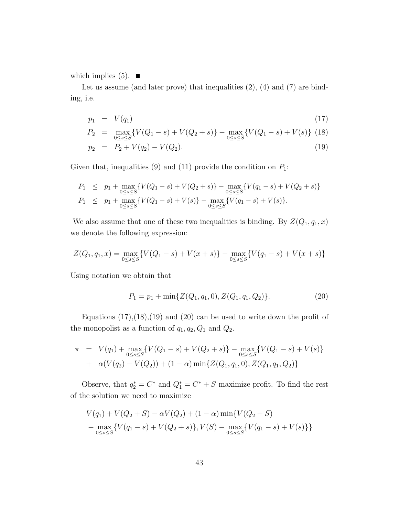which implies  $(5)$ .

Let us assume (and later prove) that inequalities  $(2)$ ,  $(4)$  and  $(7)$  are binding, i.e.

$$
p_1 = V(q_1) \tag{17}
$$

$$
P_2 = \max_{0 \le s \le S} \{ V(Q_1 - s) + V(Q_2 + s) \} - \max_{0 \le s \le S} \{ V(Q_1 - s) + V(s) \} \tag{18}
$$

$$
p_2 = P_2 + V(q_2) - V(Q_2). \tag{19}
$$

Given that, inequalities (9) and (11) provide the condition on *P*1:

$$
P_1 \leq p_1 + \max_{0 \leq s \leq S} \{ V(Q_1 - s) + V(Q_2 + s) \} - \max_{0 \leq s \leq S} \{ V(q_1 - s) + V(Q_2 + s) \}
$$
  
\n
$$
P_1 \leq p_1 + \max_{0 \leq s \leq S} \{ V(Q_1 - s) + V(s) \} - \max_{0 \leq s \leq S} \{ V(q_1 - s) + V(s) \}.
$$

We also assume that one of these two inequalities is binding. By  $Z(Q_1, q_1, x)$ we denote the following expression:

$$
Z(Q_1, q_1, x) = \max_{0 \le s \le S} \{ V(Q_1 - s) + V(x + s) \} - \max_{0 \le s \le S} \{ V(q_1 - s) + V(x + s) \}
$$

Using notation we obtain that

$$
P_1 = p_1 + \min\{Z(Q_1, q_1, 0), Z(Q_1, q_1, Q_2)\}.
$$
\n(20)

Equations  $(17),(18),(19)$  and  $(20)$  can be used to write down the profit of the monopolist as a function of  $q_1, q_2, Q_1$  and  $Q_2$ .

$$
\pi = V(q_1) + \max_{0 \le s \le S} \{ V(Q_1 - s) + V(Q_2 + s) \} - \max_{0 \le s \le S} \{ V(Q_1 - s) + V(s) \} \n+ \alpha (V(q_2) - V(Q_2)) + (1 - \alpha) \min \{ Z(Q_1, q_1, 0), Z(Q_1, q_1, Q_2) \}
$$

Observe, that  $q_2^* = C^*$  and  $Q_1^* = C^* + S$  maximize profit. To find the rest of the solution we need to maximize

$$
V(q_1) + V(Q_2 + S) - \alpha V(Q_2) + (1 - \alpha) \min \{ V(Q_2 + S) - \max_{0 \le s \le S} \{ V(q_1 - s) + V(Q_2 + s) \}, V(S) - \max_{0 \le s \le S} \{ V(q_1 - s) + V(s) \} \}
$$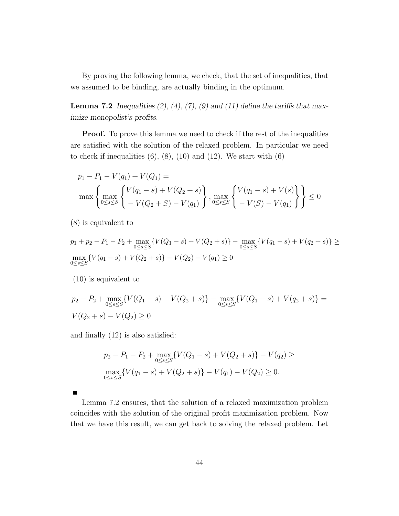By proving the following lemma, we check, that the set of inequalities, that we assumed to be binding, are actually binding in the optimum.

**Lemma 7.2** *Inequalities (2), (4), (7), (9) and (11) define the tariffs that maximize monopolist's profits.*

**Proof.** To prove this lemma we need to check if the rest of the inequalities are satisfied with the solution of the relaxed problem. In particular we need to check if inequalities  $(6)$ ,  $(8)$ ,  $(10)$  and  $(12)$ . We start with  $(6)$ 

$$
p_1 - P_1 - V(q_1) + V(Q_1) =
$$
  
\n
$$
\max \left\{ \max_{0 \le s \le S} \left\{ \frac{V(q_1 - s) + V(Q_2 + s)}{-V(Q_2 + S) - V(q_1)} \right\}, \max_{0 \le s \le S} \left\{ \frac{V(q_1 - s) + V(s)}{-V(S) - V(q_1)} \right\} \right\} \le 0
$$

(8) is equivalent to

$$
p_1 + p_2 - P_1 - P_2 + \max_{0 \le s \le S} \{ V(Q_1 - s) + V(Q_2 + s) \} - \max_{0 \le s \le S} \{ V(q_1 - s) + V(q_2 + s) \} \ge \max_{0 \le s \le S} \{ V(q_1 - s) + V(Q_2 + s) \} - V(Q_2) - V(q_1) \ge 0
$$

(10) is equivalent to

$$
p_2 - P_2 + \max_{0 \le s \le S} \{ V(Q_1 - s) + V(Q_2 + s) \} - \max_{0 \le s \le S} \{ V(Q_1 - s) + V(q_2 + s) \} =
$$
  
 
$$
V(Q_2 + s) - V(Q_2) \ge 0
$$

and finally (12) is also satisfied:

$$
p_2 - P_1 - P_2 + \max_{0 \le s \le S} \{ V(Q_1 - s) + V(Q_2 + s) \} - V(q_2) \ge
$$
  

$$
\max_{0 \le s \le S} \{ V(q_1 - s) + V(Q_2 + s) \} - V(q_1) - V(Q_2) \ge 0.
$$

Lemma 7.2 ensures, that the solution of a relaxed maximization problem coincides with the solution of the original profit maximization problem. Now that we have this result, we can get back to solving the relaxed problem. Let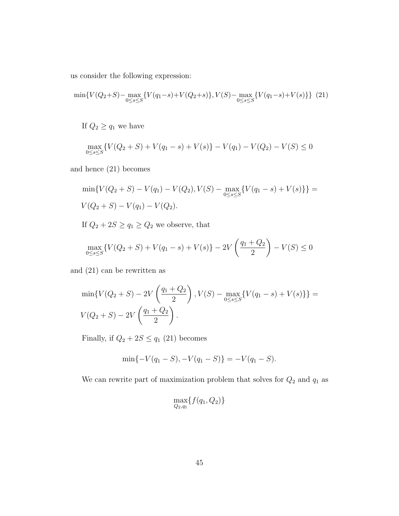us consider the following expression:

$$
\min\{V(Q_2+S)-\max_{0\leq s\leq S}\{V(q_1-s)+V(Q_2+s)\}, V(S)-\max_{0\leq s\leq S}\{V(q_1-s)+V(s)\}\} (21)
$$

If  $Q_2 \geq q_1$  we have

$$
\max_{0 \le s \le S} \{ V(Q_2 + S) + V(q_1 - s) + V(s) \} - V(q_1) - V(Q_2) - V(S) \le 0
$$

and hence (21) becomes

$$
\min\{V(Q_2+S) - V(q_1) - V(Q_2), V(S) - \max_{0 \le s \le S} \{V(q_1-s) + V(s)\}\} = V(Q_2+S) - V(q_1) - V(Q_2).
$$

If  $Q_2 + 2S \ge q_1 \ge Q_2$  we observe, that

$$
\max_{0 \le s \le S} \{ V(Q_2 + S) + V(q_1 - s) + V(s) \} - 2V\left(\frac{q_1 + Q_2}{2}\right) - V(S) \le 0
$$

and (21) can be rewritten as

$$
\min\{V(Q_2+S)-2V\left(\frac{q_1+Q_2}{2}\right), V(S)-\max_{0\leq s\leq S}\{V(q_1-s)+V(s)\}\}=V(Q_2+S)-2V\left(\frac{q_1+Q_2}{2}\right).
$$

Finally, if  $Q_2 + 2S \le q_1$  (21) becomes

$$
\min\{-V(q_1 - S), -V(q_1 - S)\} = -V(q_1 - S).
$$

We can rewrite part of maximization problem that solves for  $Q_2$  and  $q_1$  as

$$
\max_{Q_2,q_1} \{f(q_1,Q_2)\}\
$$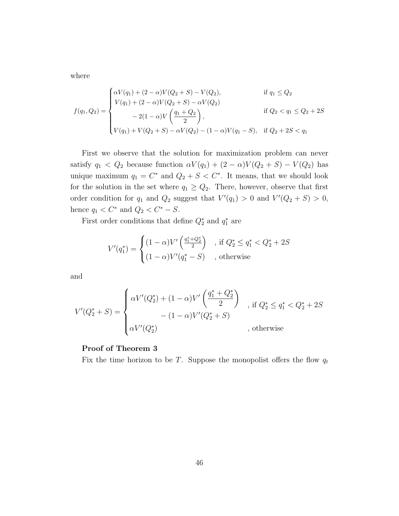where

$$
f(q_1, Q_2) = \begin{cases} \alpha V(q_1) + (2 - \alpha)V(Q_2 + S) - V(Q_2), & \text{if } q_1 \leq Q_2 \\ V(q_1) + (2 - \alpha)V(Q_2 + S) - \alpha V(Q_2) & \text{if } Q_2 < q_1 \leq Q_2 + 2S \\ -2(1 - \alpha)V\left(\frac{q_1 + Q_2}{2}\right), & \text{if } Q_2 < q_1 \leq Q_2 + 2S \\ V(q_1) + V(Q_2 + S) - \alpha V(Q_2) - (1 - \alpha)V(q_1 - S), & \text{if } Q_2 + 2S < q_1 \end{cases}
$$

First we observe that the solution for maximization problem can never satisfy  $q_1 < Q_2$  because function  $\alpha V(q_1) + (2 - \alpha)V(Q_2 + S) - V(Q_2)$  has unique maximum  $q_1 = C^*$  and  $Q_2 + S < C^*$ . It means, that we should look for the solution in the set where  $q_1 \geq Q_2$ . There, however, observe that first order condition for  $q_1$  and  $Q_2$  suggest that  $V'(q_1) > 0$  and  $V'(Q_2 + S) > 0$ , hence  $q_1 < C^*$  and  $Q_2 < C^* - S$ .

First order conditions that define  $Q_2^*$  and  $q_1^*$  are

$$
V'(q_1^*) = \begin{cases} (1 - \alpha)V'\left(\frac{q_1^* + Q_2^*}{2}\right) & , \text{ if } Q_2^* \le q_1^* < Q_2^* + 2S \\ (1 - \alpha)V'(q_1^* - S) & , \text{ otherwise} \end{cases}
$$

and

$$
V'(Q_2^* + S) = \begin{cases} \alpha V'(Q_2^*) + (1 - \alpha)V'\left(\frac{q_1^* + Q_2^*}{2}\right) & \text{, if } Q_2^* \le q_1^* < Q_2^* + 2S \\ - (1 - \alpha)V'(Q_2^*) & \text{, otherwise} \end{cases}
$$

### Proof of Theorem 3

Fix the time horizon to be *T*. Suppose the monopolist offers the flow  $q_t$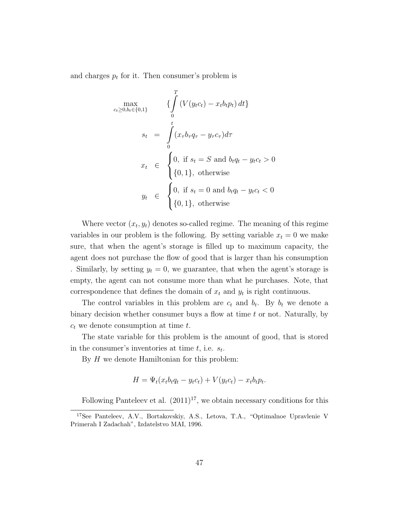and charges  $p_t$  for it. Then consumer's problem is

$$
\begin{aligned}\n\max_{c_t \ge 0, b_t \in \{0,1\}} & \left\{ \int_0^T \left( V(y_t c_t) - x_t b_t p_t \right) dt \right\} \\
s_t & = \int_0^t (x_\tau b_\tau q_\tau - y_\tau c_\tau) d\tau \\
x_t & \in \begin{cases}\n0, & \text{if } s_t = S \text{ and } b_t q_t - y_t c_t > 0 \\
\{0,1\}, & \text{otherwise}\n\end{cases} \\
y_t & \in \begin{cases}\n0, & \text{if } s_t = 0 \text{ and } b_t q_t - y_t c_t < 0 \\
\{0,1\}, & \text{otherwise}\n\end{cases}\n\end{aligned}
$$

Where vector  $(x_t, y_t)$  denotes so-called regime. The meaning of this regime variables in our problem is the following. By setting variable  $x_t = 0$  we make sure, that when the agent's storage is filled up to maximum capacity, the agent does not purchase the flow of good that is larger than his consumption . Similarly, by setting  $y_t = 0$ , we guarantee, that when the agent's storage is empty, the agent can not consume more than what he purchases. Note, that correspondence that defines the domain of  $x_t$  and  $y_t$  is right continuous.

The control variables in this problem are  $c_t$  and  $b_t$ . By  $b_t$  we denote a binary decision whether consumer buys a flow at time *t* or not. Naturally, by *c<sup>t</sup>* we denote consumption at time *t*.

The state variable for this problem is the amount of good, that is stored in the consumer's inventories at time *t*, i.e. *st*.

By *H* we denote Hamiltonian for this problem:

$$
H = \Psi_t(x_t b_t q_t - y_t c_t) + V(y_t c_t) - x_t b_t p_t.
$$

Following Panteleev et al.  $(2011)^{17}$ , we obtain necessary conditions for this

<sup>17</sup>See Panteleev, A.V., Bortakovskiy, A.S., Letova, T.A., "Optimalnoe Upravlenie V Primerah I Zadachah", Izdatelstvo MAI, 1996.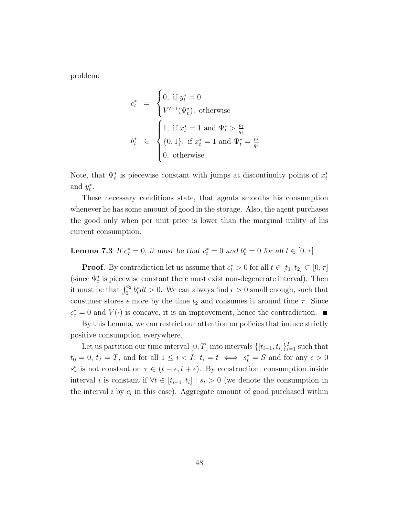problem:

$$
\begin{array}{rcl} c_t^* & = & \begin{cases} 0, \text{ if } y_t^* = 0 \\ V'^{-1}(\Psi_t^*), \text{ otherwise} \end{cases} \\ b_t^* & \in & \begin{cases} 1, \text{ if } x_t^* = 1 \text{ and } \Psi_t^* > \frac{p_t}{q_t} \\ \{0, 1\}, \text{ if } x_t^* = 1 \text{ and } \Psi_t^* = \frac{p_t}{q_t} \\ 0, \text{ otherwise} \end{cases} \end{array}
$$

Note, that  $\Psi_t^*$  is piecewise constant with jumps at discontinuity points of  $x_t^*$ and  $y_t^*$ .

These necessary conditions state, that agents smooths his consumption whenever he has some amount of good in the storage. Also, the agent purchases the good only when per unit price is lower than the marginal utility of his current consumption.

## **Lemma 7.3** If  $c^*_{\tau} = 0$ , it must be that  $c^*_{t} = 0$  and  $b^*_{t} = 0$  for all  $t \in [0, \tau]$

**Proof.** By contradiction let us assume that  $c_t^* > 0$  for all  $t \in [t_1, t_2] \subset [0, \tau]$ (since  $\Psi_t^*$  is piecewise constant there must exist non-degenerate interval). Then it must be that  $\int_0^{t_2} b_t^* dt > 0$ . We can always find  $\epsilon > 0$  small enough, such that consumer stores  $\epsilon$  more by the time  $t_2$  and consumes it around time  $\tau$ . Since  $c^*_{\tau} = 0$  and  $V(\cdot)$  is concave, it is an improvement, hence the contradiction.

By this Lemma, we can restrict our attention on policies that induce strictly positive consumption everywhere.

Let us partition our time interval  $[0, T]$  into intervals  $\{[t_{i-1}, t_i]\}_{i=1}^I$  such that  $t_0 = 0, t_I = T$ , and for all  $1 \leq i < I$ :  $t_i = t \iff s_t^* = S$  and for any  $\epsilon > 0$  $s^*_{\tau}$  is not constant on  $\tau \in (t - \epsilon, t + \epsilon)$ . By construction, consumption inside interval *i* is constant if  $\forall t \in [t_{i-1}, t_i] : s_t > 0$  (we denote the consumption in the interval  $i$  by  $c_i$  in this case). Aggregate amount of good purchased within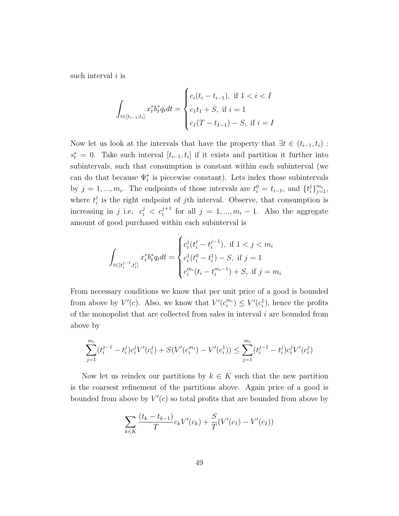such interval *i* is

$$
\int_{t \in [t_{i-1}, t_i]} x_t^* b_t^* q_t dt = \begin{cases} c_i(t_i - t_{i-1}), & \text{if } 1 < i < I \\ c_1 t_1 + S, & \text{if } i = 1 \\ c_I(T - t_{I-1}) - S, & \text{if } i = I \end{cases}
$$

Now let us look at the intervals that have the property that  $\exists t \in (t_{i-1}, t_i)$ :  $s_t^* = 0$ . Take such interval  $[t_{i-1}, t_i]$  if it exists and partition it further into subintervals, such that consumption is constant within each subinterval (we can do that because  $\Psi_t^*$  is piecewise constant). Lets index those subintervals by  $j = 1, ..., m_i$ . The endpoints of those intervals are  $t_i^0 = t_{i-1}$ , and  $\{t_i^j\}_{j=1}^{m_i}$ , where  $t_i^j$  is the right endpoint of *j*th interval. Observe, that consumption is increasing in *j* i.e.  $c_i^j < c_i^{j+1}$  for all  $j = 1, ..., m_i - 1$ . Also the aggregate amount of good purchased within each subinterval is

$$
\int_{t \in [t_i^{j-1}, t_i^j]} x_t^* b_t^* q_t dt = \begin{cases} c_i^j (t_i^j - t_i^{j-1}), & \text{if } 1 < j < m_i \\ c_i^1 (t_i^0 - t_i^1) - S, & \text{if } j = 1 \\ c_i^{m_i} (t_i - t_i^{m_i - 1}) + S, & \text{if } j = m_i \end{cases}
$$

From necessary conditions we know that per unit price of a good is bounded from above by  $V'(c)$ . Also, we know that  $V'(c_i^{m_i}) \leq V'(c_i^1)$ , hence the profits of the monopolist that are collected from sales in interval *i* are bounded from above by

$$
\sum_{j=1}^{m_i} (t_i^{j-1} - t_i^j) c_i^j V'(c_i^j) + S(V'(c_i^{m_i}) - V'(c_i^1)) \le \sum_{j=1}^{m_i} (t_i^{j-1} - t_i^j) c_i^j V'(c_i^j)
$$

Now let us reindex our partitions by  $k \in K$  such that the new partition is the coarsest refinement of the partitions above. Again price of a good is bounded from above by  $V'(c)$  so total profits that are bounded from above by

$$
\sum_{k \in K} \frac{(t_k - t_{k-1})}{T} c_k V'(c_k) + \frac{S}{T} (V'(c_1) - V'(c_I))
$$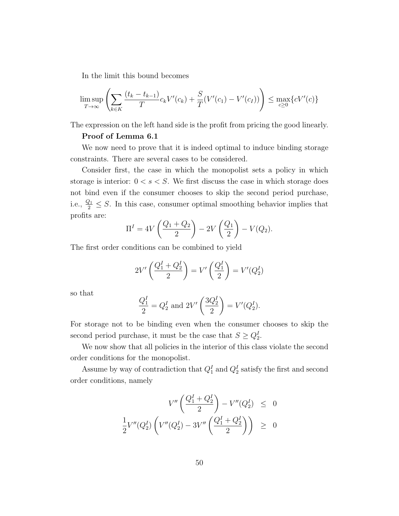In the limit this bound becomes

$$
\limsup_{T \to \infty} \left( \sum_{k \in K} \frac{(t_k - t_{k-1})}{T} c_k V'(c_k) + \frac{S}{T} (V'(c_1) - V'(c_I)) \right) \le \max_{c \ge 0} \{c V'(c)\}
$$

The expression on the left hand side is the profit from pricing the good linearly.

#### Proof of Lemma 6.1

We now need to prove that it is indeed optimal to induce binding storage constraints. There are several cases to be considered.

Consider first, the case in which the monopolist sets a policy in which storage is interior:  $0 < s < S$ . We first discuss the case in which storage does not bind even if the consumer chooses to skip the second period purchase, i.e.,  $\frac{Q_1}{2} \leq S$ . In this case, consumer optimal smoothing behavior implies that profits are:

$$
\Pi^{I} = 4V\left(\frac{Q_{1} + Q_{2}}{2}\right) - 2V\left(\frac{Q_{1}}{2}\right) - V(Q_{2}).
$$

The first order conditions can be combined to yield

$$
2V'\left(\frac{Q_1^I + Q_2^I}{2}\right) = V'\left(\frac{Q_1^I}{2}\right) = V'(Q_2^I)
$$

so that

$$
\frac{Q_1^I}{2} = Q_2^I \text{ and } 2V' \left(\frac{3Q_2^I}{2}\right) = V'(Q_2^I).
$$

For storage not to be binding even when the consumer chooses to skip the second period purchase, it must be the case that  $S \geq Q_2^I$ .

We now show that all policies in the interior of this class violate the second order conditions for the monopolist.

Assume by way of contradiction that  $Q_1^I$  and  $Q_2^I$  satisfy the first and second order conditions, namely

$$
V''\left(\frac{Q_1^I + Q_2^I}{2}\right) - V''(Q_2^I) \leq 0
$$
  

$$
\frac{1}{2}V''(Q_2^I)\left(V''(Q_2^I) - 3V''\left(\frac{Q_1^I + Q_2^I}{2}\right)\right) \geq 0
$$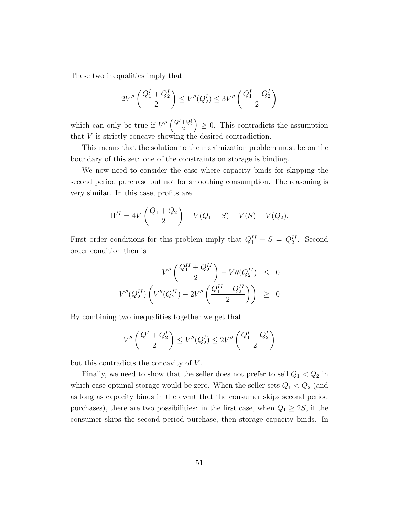These two inequalities imply that

$$
2V''\left(\frac{Q_1^I + Q_2^I}{2}\right) \le V''(Q_2^I) \le 3V''\left(\frac{Q_1^I + Q_2^I}{2}\right)
$$

which can only be true if  $V''\left(\frac{Q_1^I+Q_2^I}{2}\right)$  $\Big) \geq 0$ . This contradicts the assumption that *V* is strictly concave showing the desired contradiction.

This means that the solution to the maximization problem must be on the boundary of this set: one of the constraints on storage is binding.

We now need to consider the case where capacity binds for skipping the second period purchase but not for smoothing consumption. The reasoning is very similar. In this case, profits are

$$
\Pi^{II} = 4V\left(\frac{Q_1 + Q_2}{2}\right) - V(Q_1 - S) - V(S) - V(Q_2).
$$

First order conditions for this problem imply that  $Q_1^{II} - S = Q_2^{II}$ . Second order condition then is

$$
V''\left(\frac{Q_1^{II} + Q_2^{II}}{2}\right) - V''(Q_2^{II}) \leq 0
$$
  

$$
V''(Q_2^{II})\left(V''(Q_2^{II}) - 2V''\left(\frac{Q_1^{II} + Q_2^{II}}{2}\right)\right) \geq 0
$$

By combining two inequalities together we get that

$$
V''\left(\frac{Q_1^I + Q_2^I}{2}\right) \le V''(Q_2^I) \le 2V''\left(\frac{Q_1^I + Q_2^I}{2}\right)
$$

but this contradicts the concavity of *V* .

Finally, we need to show that the seller does not prefer to sell  $Q_1 < Q_2$  in which case optimal storage would be zero. When the seller sets  $Q_1 < Q_2$  (and as long as capacity binds in the event that the consumer skips second period purchases), there are two possibilities: in the first case, when  $Q_1 \geq 2S$ , if the consumer skips the second period purchase, then storage capacity binds. In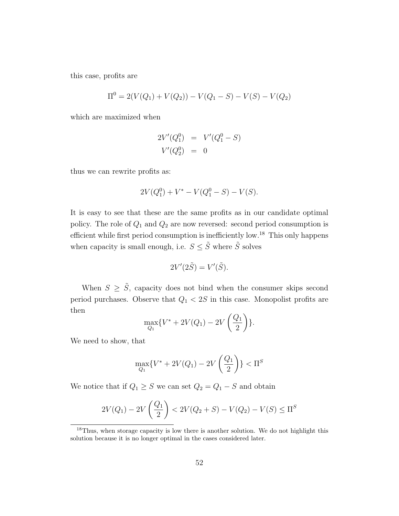this case, profits are

$$
\Pi^0 = 2(V(Q_1) + V(Q_2)) - V(Q_1 - S) - V(S) - V(Q_2)
$$

which are maximized when

$$
2V'(Q_1^0) = V'(Q_1^0 - S)
$$
  

$$
V'(Q_2^0) = 0
$$

thus we can rewrite profits as:

$$
2V(Q_1^0) + V^* - V(Q_1^0 - S) - V(S).
$$

It is easy to see that these are the same profits as in our candidate optimal policy. The role of *Q*<sup>1</sup> and *Q*<sup>2</sup> are now reversed: second period consumption is efficient while first period consumption is inefficiently low.<sup>18</sup> This only happens when capacity is small enough, i.e.  $S \leq \tilde{S}$  where  $\tilde{S}$  solves

$$
2V'(2\tilde{S}) = V'(\tilde{S}).
$$

When  $S \geq \tilde{S}$ , capacity does not bind when the consumer skips second period purchases. Observe that *Q*<sup>1</sup> *<* 2*S* in this case. Monopolist profits are then

$$
\max_{Q_1} \{ V^* + 2V(Q_1) - 2V\left(\frac{Q_1}{2}\right) \}.
$$

We need to show, that

$$
\max_{Q_1} \{ V^* + 2V(Q_1) - 2V\left(\frac{Q_1}{2}\right) \} < \Pi^S
$$

We notice that if  $Q_1 \geq S$  we can set  $Q_2 = Q_1 - S$  and obtain

$$
2V(Q_1) - 2V\left(\frac{Q_1}{2}\right) < 2V(Q_2 + S) - V(Q_2) - V(S) \leq \Pi^S
$$

<sup>&</sup>lt;sup>18</sup>Thus, when storage capacity is low there is another solution. We do not highlight this solution because it is no longer optimal in the cases considered later.